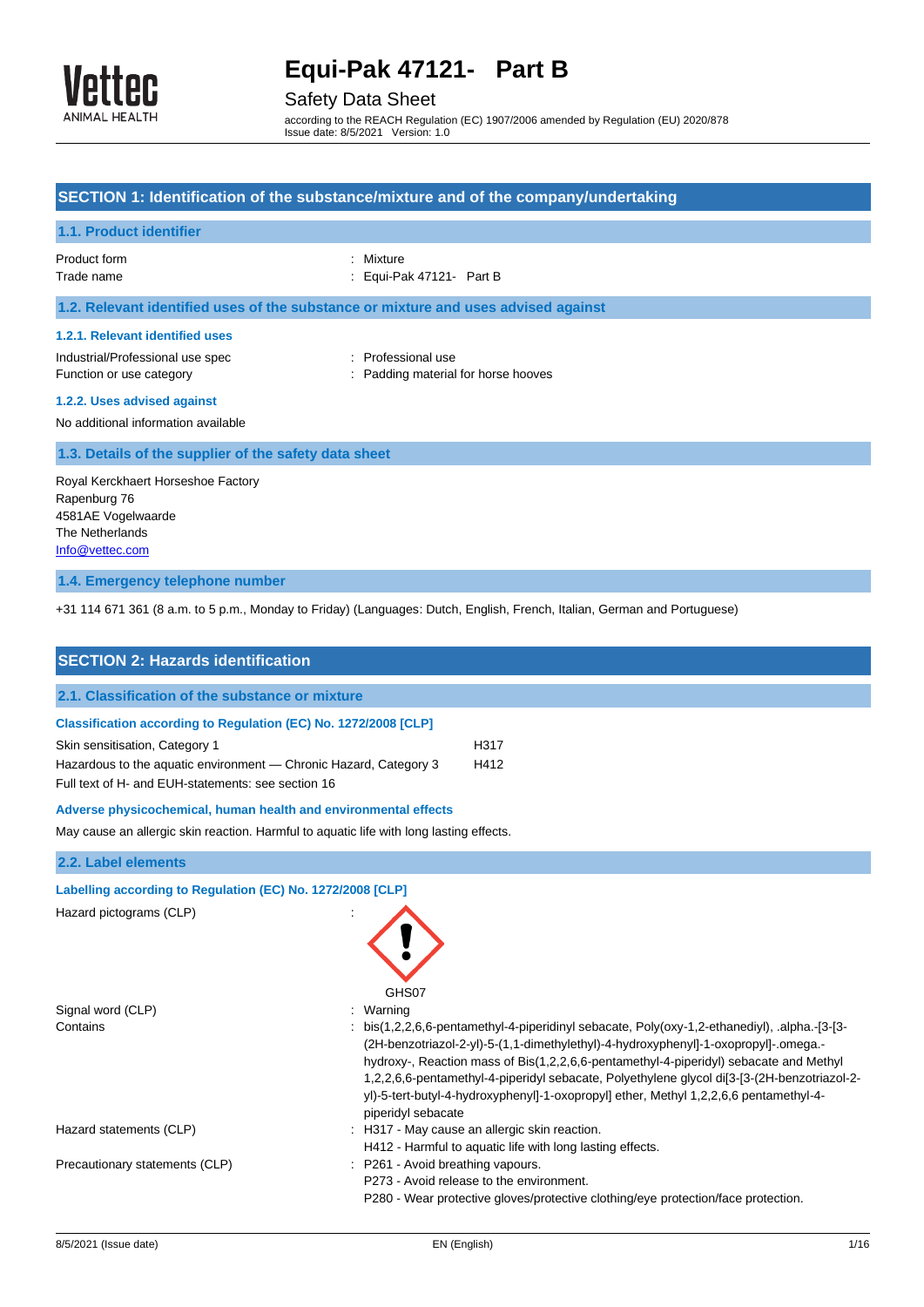

## Safety Data Sheet

according to the REACH Regulation (EC) 1907/2006 amended by Regulation (EU) 2020/878 Issue date: 8/5/2021 Version: 1.0

| SECTION 1: Identification of the substance/mixture and of the company/undertaking                                                                                     |                                                           |  |
|-----------------------------------------------------------------------------------------------------------------------------------------------------------------------|-----------------------------------------------------------|--|
| 1.1. Product identifier                                                                                                                                               |                                                           |  |
| Product form<br>Trade name                                                                                                                                            | : Mixture<br>: Equi-Pak 47121- Part B                     |  |
| 1.2. Relevant identified uses of the substance or mixture and uses advised against                                                                                    |                                                           |  |
| 1.2.1. Relevant identified uses<br>Industrial/Professional use spec<br>Function or use category<br>1.2.2. Uses advised against<br>No additional information available | : Professional use<br>: Padding material for horse hooves |  |
| 1.3. Details of the supplier of the safety data sheet                                                                                                                 |                                                           |  |
| Royal Kerckhaert Horseshoe Factory<br>Rapenburg 76<br>4581AE Vogelwaarde<br>The Netherlands<br>Info@vettec.com                                                        |                                                           |  |

## **1.4. Emergency telephone number**

+31 114 671 361 (8 a.m. to 5 p.m., Monday to Friday) (Languages: Dutch, English, French, Italian, German and Portuguese)

| <b>SECTION 2: Hazards identification</b>                                                                                                                                                                                     |                                                                                                                                                                                                                                                                                                                                                                                                                                                                                                              |  |
|------------------------------------------------------------------------------------------------------------------------------------------------------------------------------------------------------------------------------|--------------------------------------------------------------------------------------------------------------------------------------------------------------------------------------------------------------------------------------------------------------------------------------------------------------------------------------------------------------------------------------------------------------------------------------------------------------------------------------------------------------|--|
| 2.1. Classification of the substance or mixture                                                                                                                                                                              |                                                                                                                                                                                                                                                                                                                                                                                                                                                                                                              |  |
| Classification according to Regulation (EC) No. 1272/2008 [CLP]<br>Skin sensitisation, Category 1<br>Hazardous to the aquatic environment - Chronic Hazard, Category 3<br>Full text of H- and EUH-statements: see section 16 | H317<br>H412                                                                                                                                                                                                                                                                                                                                                                                                                                                                                                 |  |
| Adverse physicochemical, human health and environmental effects                                                                                                                                                              |                                                                                                                                                                                                                                                                                                                                                                                                                                                                                                              |  |
| May cause an allergic skin reaction. Harmful to aquatic life with long lasting effects.                                                                                                                                      |                                                                                                                                                                                                                                                                                                                                                                                                                                                                                                              |  |
| 2.2. Label elements                                                                                                                                                                                                          |                                                                                                                                                                                                                                                                                                                                                                                                                                                                                                              |  |
| Labelling according to Regulation (EC) No. 1272/2008 [CLP]<br>Hazard pictograms (CLP)                                                                                                                                        | GHS07                                                                                                                                                                                                                                                                                                                                                                                                                                                                                                        |  |
| Signal word (CLP)<br>Contains                                                                                                                                                                                                | Warning<br>: bis(1,2,2,6,6-pentamethyl-4-piperidinyl sebacate, Poly(oxy-1,2-ethanediyl), alpha.- $[3$ - $[3-]$<br>(2H-benzotriazol-2-yl)-5-(1,1-dimethylethyl)-4-hydroxyphenyl]-1-oxopropyl]-.omega.-<br>hydroxy-, Reaction mass of Bis(1,2,2,6,6-pentamethyl-4-piperidyl) sebacate and Methyl<br>1,2,2,6,6-pentamethyl-4-piperidyl sebacate, Polyethylene glycol di[3-[3-(2H-benzotriazol-2-<br>yl)-5-tert-butyl-4-hydroxyphenyl]-1-oxopropyl] ether, Methyl 1,2,2,6,6 pentamethyl-4-<br>piperidyl sebacate |  |
| Hazard statements (CLP)                                                                                                                                                                                                      | : H317 - May cause an allergic skin reaction.<br>H412 - Harmful to aquatic life with long lasting effects.                                                                                                                                                                                                                                                                                                                                                                                                   |  |
| Precautionary statements (CLP)                                                                                                                                                                                               | : P261 - Avoid breathing vapours.<br>P273 - Avoid release to the environment.<br>P280 - Wear protective gloves/protective clothing/eye protection/face protection.                                                                                                                                                                                                                                                                                                                                           |  |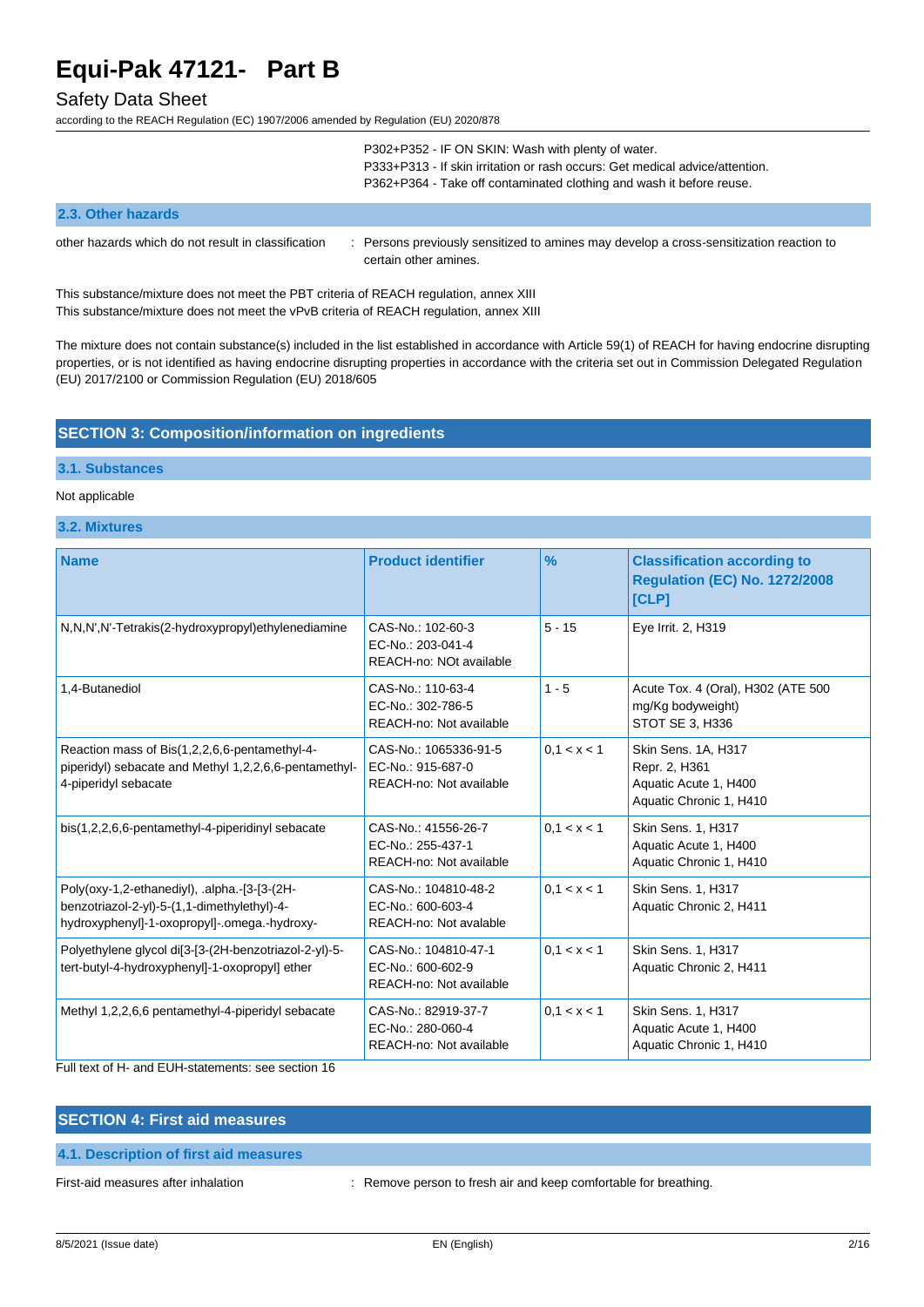### Safety Data Sheet

according to the REACH Regulation (EC) 1907/2006 amended by Regulation (EU) 2020/878

|                                                     | P302+P352 - IF ON SKIN: Wash with plenty of water.<br>P333+P313 - If skin irritation or rash occurs: Get medical advice/attention.<br>P362+P364 - Take off contaminated clothing and wash it before reuse. |
|-----------------------------------------------------|------------------------------------------------------------------------------------------------------------------------------------------------------------------------------------------------------------|
| 2.3. Other hazards                                  |                                                                                                                                                                                                            |
| other hazards which do not result in classification | : Persons previously sensitized to amines may develop a cross-sensitization reaction to<br>certain other amines.                                                                                           |

This substance/mixture does not meet the PBT criteria of REACH regulation, annex XIII This substance/mixture does not meet the vPvB criteria of REACH regulation, annex XIII

The mixture does not contain substance(s) included in the list established in accordance with Article 59(1) of REACH for having endocrine disrupting properties, or is not identified as having endocrine disrupting properties in accordance with the criteria set out in Commission Delegated Regulation (EU) 2017/2100 or Commission Regulation (EU) 2018/605

### **SECTION 3: Composition/information on ingredients**

### **3.1. Substances**

#### Not applicable

**3.2. Mixtures**

| <b>Name</b>                                                                                                                                 | <b>Product identifier</b>                                             | %            | <b>Classification according to</b><br><b>Regulation (EC) No. 1272/2008</b><br>[CLP]      |
|---------------------------------------------------------------------------------------------------------------------------------------------|-----------------------------------------------------------------------|--------------|------------------------------------------------------------------------------------------|
| N,N,N',N'-Tetrakis(2-hydroxypropyl)ethylenediamine                                                                                          | CAS-No.: 102-60-3<br>EC-No.: 203-041-4<br>REACH-no: NOt available     | $5 - 15$     | Eye Irrit. 2, H319                                                                       |
| 1,4-Butanediol                                                                                                                              | CAS-No.: 110-63-4<br>EC-No.: 302-786-5<br>REACH-no: Not available     | $1 - 5$      | Acute Tox. 4 (Oral), H302 (ATE 500<br>mg/Kg bodyweight)<br>STOT SE 3, H336               |
| Reaction mass of Bis(1,2,2,6,6-pentamethyl-4-<br>piperidyl) sebacate and Methyl 1,2,2,6,6-pentamethyl-<br>4-piperidyl sebacate              | CAS-No.: 1065336-91-5<br>EC-No.: 915-687-0<br>REACH-no: Not available | 0.1 < x < 1  | Skin Sens. 1A, H317<br>Repr. 2, H361<br>Aquatic Acute 1, H400<br>Aquatic Chronic 1, H410 |
| bis(1,2,2,6,6-pentamethyl-4-piperidinyl sebacate                                                                                            | CAS-No.: 41556-26-7<br>EC-No.: 255-437-1<br>REACH-no: Not available   | 0, 1 < x < 1 | Skin Sens. 1, H317<br>Aquatic Acute 1, H400<br>Aquatic Chronic 1, H410                   |
| Poly(oxy-1,2-ethanediyl), .alpha.-[3-[3-(2H-<br>benzotriazol-2-yl)-5-(1,1-dimethylethyl)-4-<br>hydroxyphenyl]-1-oxopropyl]-.omega.-hydroxy- | CAS-No.: 104810-48-2<br>EC-No.: 600-603-4<br>REACH-no: Not avalable   | 0.1 < x < 1  | Skin Sens. 1, H317<br>Aquatic Chronic 2, H411                                            |
| Polyethylene glycol di[3-[3-(2H-benzotriazol-2-yl)-5-<br>tert-butyl-4-hydroxyphenyl]-1-oxopropyl] ether                                     | CAS-No.: 104810-47-1<br>EC-No.: 600-602-9<br>REACH-no: Not available  | 0, 1 < x < 1 | Skin Sens. 1, H317<br>Aquatic Chronic 2, H411                                            |
| Methyl 1,2,2,6,6 pentamethyl-4-piperidyl sebacate                                                                                           | CAS-No.: 82919-37-7<br>EC-No.: 280-060-4<br>REACH-no: Not available   | 0.1 < x < 1  | Skin Sens. 1, H317<br>Aquatic Acute 1, H400<br>Aquatic Chronic 1, H410                   |

Full text of H- and EUH-statements: see section 16

## **SECTION 4: First aid measures**

**4.1. Description of first aid measures**

First-aid measures after inhalation : Remove person to fresh air and keep comfortable for breathing.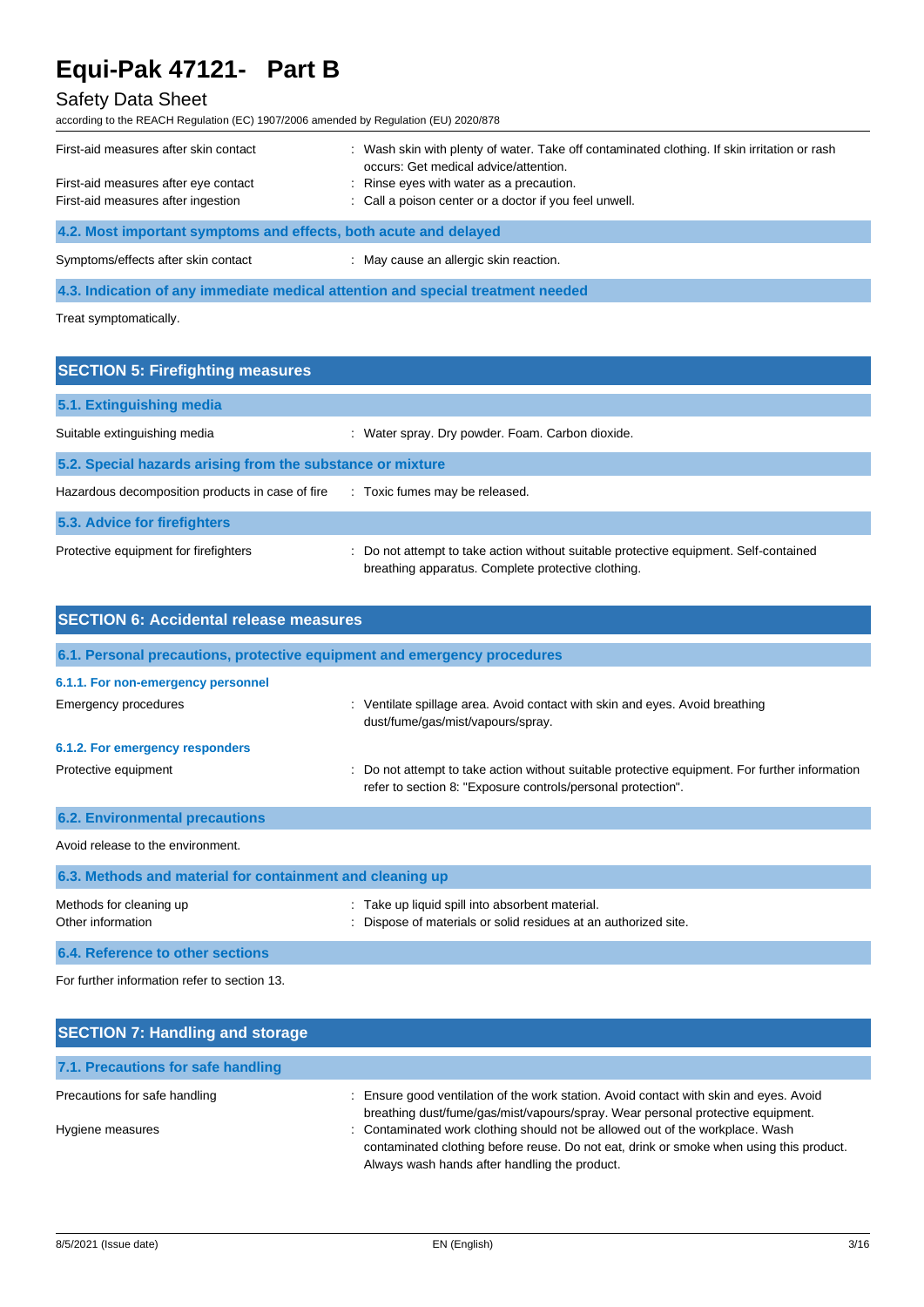## Safety Data Sheet

according to the REACH Regulation (EC) 1907/2006 amended by Regulation (EU) 2020/878

| : Wash skin with plenty of water. Take off contaminated clothing. If skin irritation or rash<br>occurs: Get medical advice/attention.<br>: Rinse eyes with water as a precaution.<br>: Call a poison center or a doctor if you feel unwell. |
|---------------------------------------------------------------------------------------------------------------------------------------------------------------------------------------------------------------------------------------------|
| 4.2. Most important symptoms and effects, both acute and delayed                                                                                                                                                                            |
| : May cause an allergic skin reaction.                                                                                                                                                                                                      |
|                                                                                                                                                                                                                                             |

**4.3. Indication of any immediate medical attention and special treatment needed**

Treat symptomatically.

| <b>SECTION 5: Firefighting measures</b>                    |                                                                                                                                             |  |  |
|------------------------------------------------------------|---------------------------------------------------------------------------------------------------------------------------------------------|--|--|
| 5.1. Extinguishing media                                   |                                                                                                                                             |  |  |
| Suitable extinguishing media                               | : Water spray. Dry powder. Foam. Carbon dioxide.                                                                                            |  |  |
| 5.2. Special hazards arising from the substance or mixture |                                                                                                                                             |  |  |
| Hazardous decomposition products in case of fire           | : Toxic fumes may be released.                                                                                                              |  |  |
| 5.3. Advice for firefighters                               |                                                                                                                                             |  |  |
| Protective equipment for firefighters                      | : Do not attempt to take action without suitable protective equipment. Self-contained<br>breathing apparatus. Complete protective clothing. |  |  |

| <b>SECTION 6: Accidental release measures</b>             |                                                                                                                                                                |  |  |
|-----------------------------------------------------------|----------------------------------------------------------------------------------------------------------------------------------------------------------------|--|--|
|                                                           | 6.1. Personal precautions, protective equipment and emergency procedures                                                                                       |  |  |
| 6.1.1. For non-emergency personnel                        |                                                                                                                                                                |  |  |
| Emergency procedures                                      | : Ventilate spillage area. Avoid contact with skin and eyes. Avoid breathing<br>dust/fume/gas/mist/vapours/spray.                                              |  |  |
| 6.1.2. For emergency responders                           |                                                                                                                                                                |  |  |
| Protective equipment                                      | : Do not attempt to take action without suitable protective equipment. For further information<br>refer to section 8: "Exposure controls/personal protection". |  |  |
| <b>6.2. Environmental precautions</b>                     |                                                                                                                                                                |  |  |
| Avoid release to the environment.                         |                                                                                                                                                                |  |  |
| 6.3. Methods and material for containment and cleaning up |                                                                                                                                                                |  |  |
| Methods for cleaning up<br>Other information              | Take up liquid spill into absorbent material.<br>Dispose of materials or solid residues at an authorized site.                                                 |  |  |
| 6.4. Reference to other sections                          |                                                                                                                                                                |  |  |

For further information refer to section 13.

| <b>SECTION 7: Handling and storage</b> |                                                                                                                                                                                                                           |
|----------------------------------------|---------------------------------------------------------------------------------------------------------------------------------------------------------------------------------------------------------------------------|
| 7.1. Precautions for safe handling     |                                                                                                                                                                                                                           |
| Precautions for safe handling          | Ensure good ventilation of the work station. Avoid contact with skin and eyes. Avoid<br>breathing dust/fume/gas/mist/vapours/spray. Wear personal protective equipment.                                                   |
| Hygiene measures                       | : Contaminated work clothing should not be allowed out of the workplace. Wash<br>contaminated clothing before reuse. Do not eat, drink or smoke when using this product.<br>Always wash hands after handling the product. |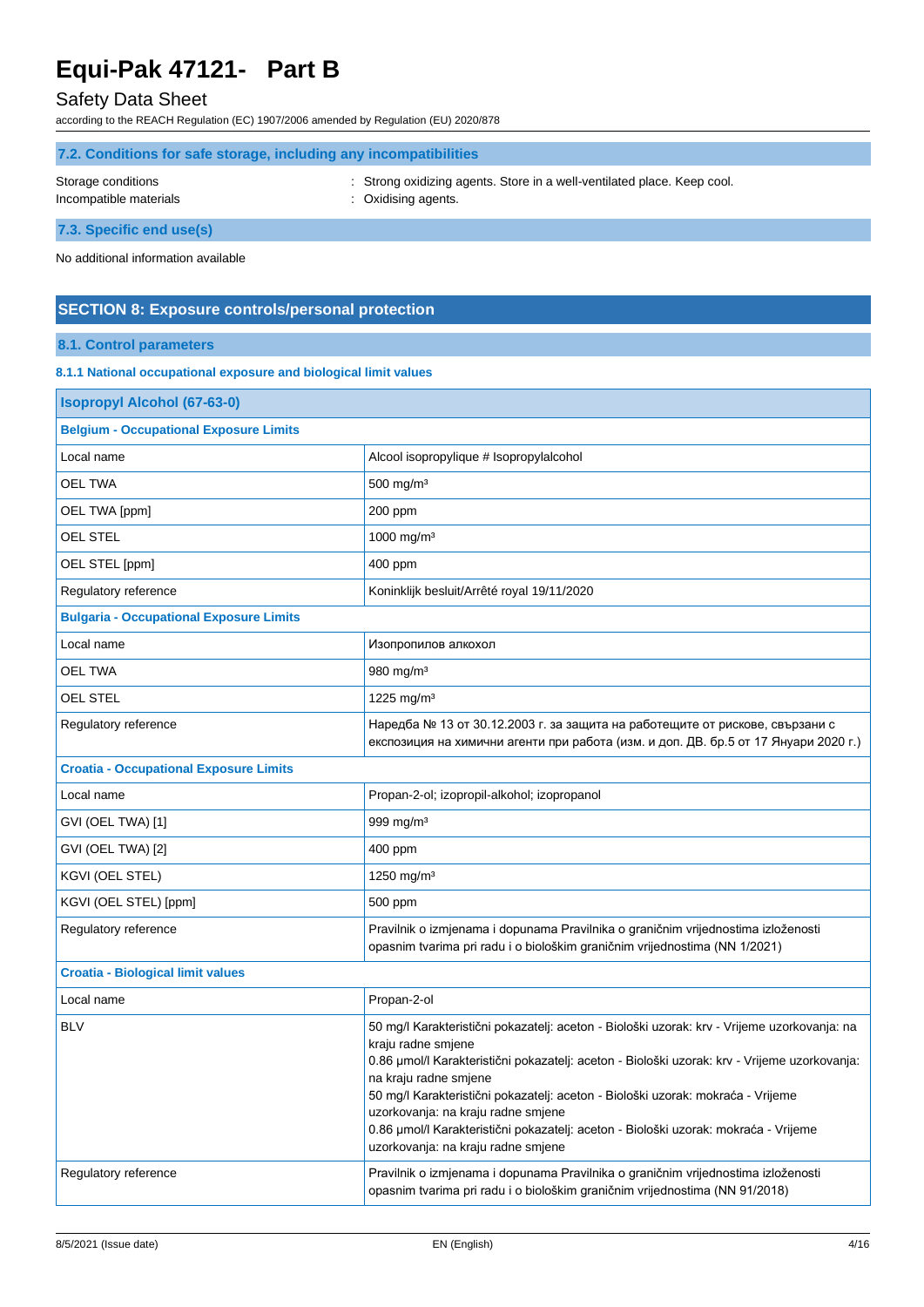## Safety Data Sheet

according to the REACH Regulation (EC) 1907/2006 amended by Regulation (EU) 2020/878

| 7.2. Conditions for safe storage, including any incompatibilities |  |                                                                         |
|-------------------------------------------------------------------|--|-------------------------------------------------------------------------|
| Storage conditions                                                |  | : Strong oxidizing agents. Store in a well-ventilated place. Keep cool. |
| Incompatible materials                                            |  | : Oxidising agents.                                                     |

**7.3. Specific end use(s)**

No additional information available

### **SECTION 8: Exposure controls/personal protection**

## **8.1. Control parameters**

### **8.1.1 National occupational exposure and biological limit values**

| <b>Isopropyl Alcohol (67-63-0)</b>             |                                                                                                                                                                                                                                                                                                                                                                                                                                                                                                  |  |  |
|------------------------------------------------|--------------------------------------------------------------------------------------------------------------------------------------------------------------------------------------------------------------------------------------------------------------------------------------------------------------------------------------------------------------------------------------------------------------------------------------------------------------------------------------------------|--|--|
| <b>Belgium - Occupational Exposure Limits</b>  |                                                                                                                                                                                                                                                                                                                                                                                                                                                                                                  |  |  |
| Local name                                     | Alcool isopropylique # Isopropylalcohol                                                                                                                                                                                                                                                                                                                                                                                                                                                          |  |  |
| <b>OEL TWA</b>                                 | 500 mg/m <sup>3</sup>                                                                                                                                                                                                                                                                                                                                                                                                                                                                            |  |  |
| OEL TWA [ppm]                                  | 200 ppm                                                                                                                                                                                                                                                                                                                                                                                                                                                                                          |  |  |
| <b>OEL STEL</b>                                | 1000 mg/m <sup>3</sup>                                                                                                                                                                                                                                                                                                                                                                                                                                                                           |  |  |
| OEL STEL [ppm]                                 | 400 ppm                                                                                                                                                                                                                                                                                                                                                                                                                                                                                          |  |  |
| Regulatory reference                           | Koninklijk besluit/Arrêté royal 19/11/2020                                                                                                                                                                                                                                                                                                                                                                                                                                                       |  |  |
| <b>Bulgaria - Occupational Exposure Limits</b> |                                                                                                                                                                                                                                                                                                                                                                                                                                                                                                  |  |  |
| Local name                                     | Изопропилов алкохол                                                                                                                                                                                                                                                                                                                                                                                                                                                                              |  |  |
| OEL TWA                                        | 980 mg/m <sup>3</sup>                                                                                                                                                                                                                                                                                                                                                                                                                                                                            |  |  |
| OEL STEL                                       | 1225 mg/m <sup>3</sup>                                                                                                                                                                                                                                                                                                                                                                                                                                                                           |  |  |
| Regulatory reference                           | Наредба № 13 от 30.12.2003 г. за защита на работещите от рискове, свързани с<br>експозиция на химични агенти при работа (изм. и доп. ДВ. бр.5 от 17 Януари 2020 г.)                                                                                                                                                                                                                                                                                                                              |  |  |
| <b>Croatia - Occupational Exposure Limits</b>  |                                                                                                                                                                                                                                                                                                                                                                                                                                                                                                  |  |  |
| Local name                                     | Propan-2-ol; izopropil-alkohol; izopropanol                                                                                                                                                                                                                                                                                                                                                                                                                                                      |  |  |
| GVI (OEL TWA) [1]                              | 999 mg/m <sup>3</sup>                                                                                                                                                                                                                                                                                                                                                                                                                                                                            |  |  |
| GVI (OEL TWA) [2]                              | 400 ppm                                                                                                                                                                                                                                                                                                                                                                                                                                                                                          |  |  |
| KGVI (OEL STEL)                                | 1250 mg/m <sup>3</sup>                                                                                                                                                                                                                                                                                                                                                                                                                                                                           |  |  |
| KGVI (OEL STEL) [ppm]                          | 500 ppm                                                                                                                                                                                                                                                                                                                                                                                                                                                                                          |  |  |
| Regulatory reference                           | Pravilnik o izmjenama i dopunama Pravilnika o graničnim vrijednostima izloženosti<br>opasnim tvarima pri radu i o biološkim graničnim vrijednostima (NN 1/2021)                                                                                                                                                                                                                                                                                                                                  |  |  |
| <b>Croatia - Biological limit values</b>       |                                                                                                                                                                                                                                                                                                                                                                                                                                                                                                  |  |  |
| Local name                                     | Propan-2-ol                                                                                                                                                                                                                                                                                                                                                                                                                                                                                      |  |  |
| <b>BLV</b>                                     | 50 mg/l Karakteristični pokazatelj: aceton - Biološki uzorak: krv - Vrijeme uzorkovanja: na<br>kraju radne smjene<br>0.86 µmol/l Karakteristični pokazatelj: aceton - Biološki uzorak: krv - Vrijeme uzorkovanja:<br>na kraju radne smjene<br>50 mg/l Karakteristični pokazatelj: aceton - Biološki uzorak: mokraća - Vrijeme<br>uzorkovanja: na kraju radne smjene<br>0.86 µmol/l Karakteristični pokazatelj: aceton - Biološki uzorak: mokraća - Vrijeme<br>uzorkovanja: na kraju radne smjene |  |  |
| Regulatory reference                           | Pravilnik o izmjenama i dopunama Pravilnika o graničnim vrijednostima izloženosti<br>opasnim tvarima pri radu i o biološkim graničnim vrijednostima (NN 91/2018)                                                                                                                                                                                                                                                                                                                                 |  |  |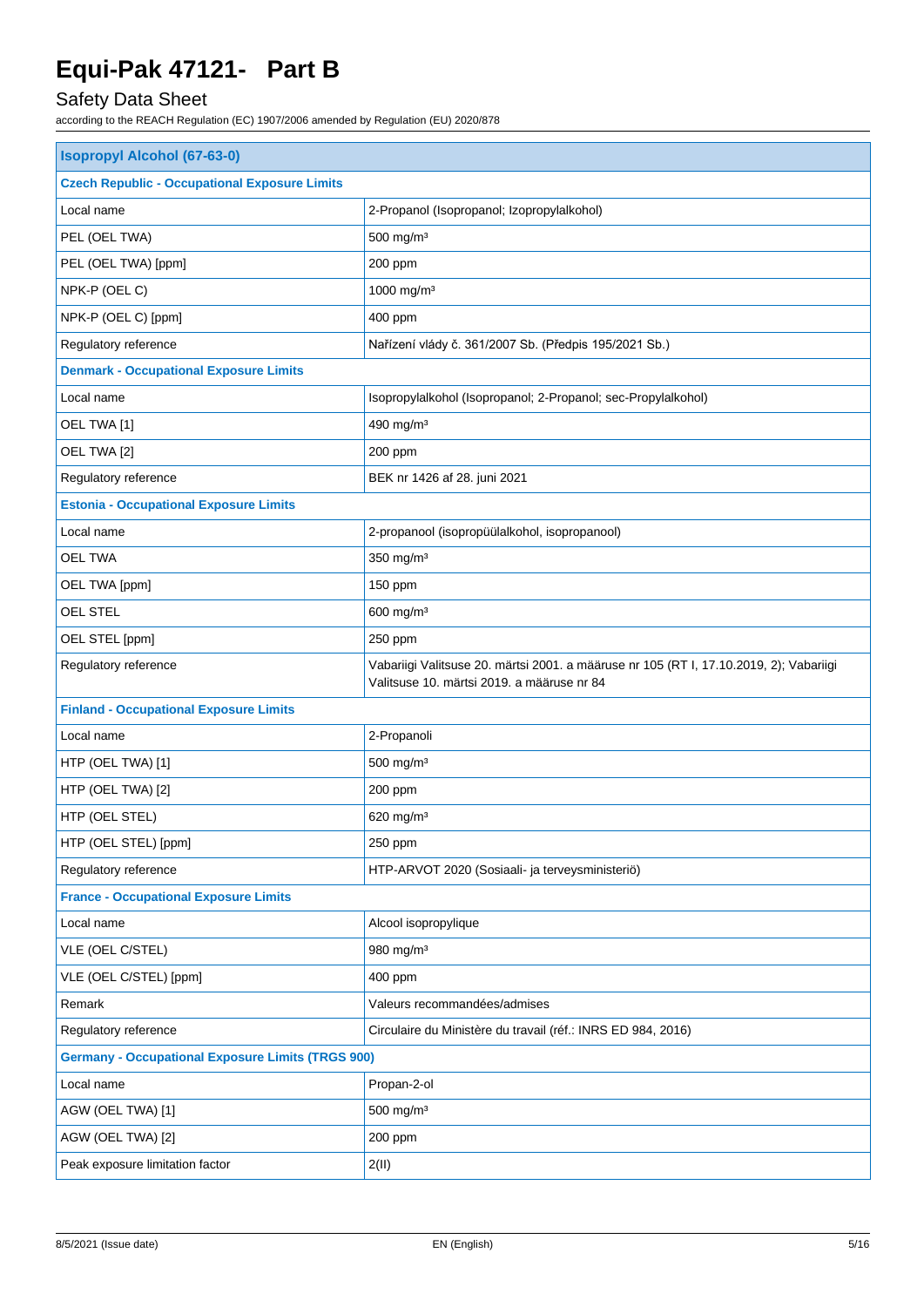# Safety Data Sheet

| <b>Isopropyl Alcohol (67-63-0)</b>                       |                                                                                                                                      |  |
|----------------------------------------------------------|--------------------------------------------------------------------------------------------------------------------------------------|--|
| <b>Czech Republic - Occupational Exposure Limits</b>     |                                                                                                                                      |  |
| Local name                                               | 2-Propanol (Isopropanol; Izopropylalkohol)                                                                                           |  |
| PEL (OEL TWA)                                            | $500$ mg/m <sup>3</sup>                                                                                                              |  |
| PEL (OEL TWA) [ppm]                                      | 200 ppm                                                                                                                              |  |
| NPK-P (OEL C)                                            | 1000 mg/m <sup>3</sup>                                                                                                               |  |
| NPK-P (OEL C) [ppm]                                      | 400 ppm                                                                                                                              |  |
| Regulatory reference                                     | Nařízení vlády č. 361/2007 Sb. (Předpis 195/2021 Sb.)                                                                                |  |
| <b>Denmark - Occupational Exposure Limits</b>            |                                                                                                                                      |  |
| Local name                                               | Isopropylalkohol (Isopropanol; 2-Propanol; sec-Propylalkohol)                                                                        |  |
| OEL TWA [1]                                              | 490 mg/m <sup>3</sup>                                                                                                                |  |
| OEL TWA [2]                                              | 200 ppm                                                                                                                              |  |
| Regulatory reference                                     | BEK nr 1426 af 28. juni 2021                                                                                                         |  |
| <b>Estonia - Occupational Exposure Limits</b>            |                                                                                                                                      |  |
| Local name                                               | 2-propanool (isopropüülalkohol, isopropanool)                                                                                        |  |
| <b>OEL TWA</b>                                           | 350 mg/m <sup>3</sup>                                                                                                                |  |
| OEL TWA [ppm]                                            | 150 ppm                                                                                                                              |  |
| <b>OEL STEL</b>                                          | 600 mg/m <sup>3</sup>                                                                                                                |  |
| OEL STEL [ppm]                                           | 250 ppm                                                                                                                              |  |
| Regulatory reference                                     | Vabariigi Valitsuse 20. märtsi 2001. a määruse nr 105 (RT I, 17.10.2019, 2); Vabariigi<br>Valitsuse 10. märtsi 2019. a määruse nr 84 |  |
| <b>Finland - Occupational Exposure Limits</b>            |                                                                                                                                      |  |
| Local name                                               | 2-Propanoli                                                                                                                          |  |
| HTP (OEL TWA) [1]                                        | 500 mg/m <sup>3</sup>                                                                                                                |  |
| HTP (OEL TWA) [2]                                        | 200 ppm                                                                                                                              |  |
| HTP (OEL STEL)                                           | 620 mg/m $3$                                                                                                                         |  |
| HTP (OEL STEL) [ppm]                                     | 250 ppm                                                                                                                              |  |
| Regulatory reference                                     | HTP-ARVOT 2020 (Sosiaali- ja terveysministeriö)                                                                                      |  |
| <b>France - Occupational Exposure Limits</b>             |                                                                                                                                      |  |
| Local name                                               | Alcool isopropylique                                                                                                                 |  |
| VLE (OEL C/STEL)                                         | 980 mg/m <sup>3</sup>                                                                                                                |  |
| VLE (OEL C/STEL) [ppm]                                   | 400 ppm                                                                                                                              |  |
| Remark                                                   | Valeurs recommandées/admises                                                                                                         |  |
| Regulatory reference                                     | Circulaire du Ministère du travail (réf.: INRS ED 984, 2016)                                                                         |  |
| <b>Germany - Occupational Exposure Limits (TRGS 900)</b> |                                                                                                                                      |  |
| Local name                                               | Propan-2-ol                                                                                                                          |  |
| AGW (OEL TWA) [1]                                        | $500$ mg/m <sup>3</sup>                                                                                                              |  |
| AGW (OEL TWA) [2]                                        | 200 ppm                                                                                                                              |  |
| Peak exposure limitation factor                          | 2(II)                                                                                                                                |  |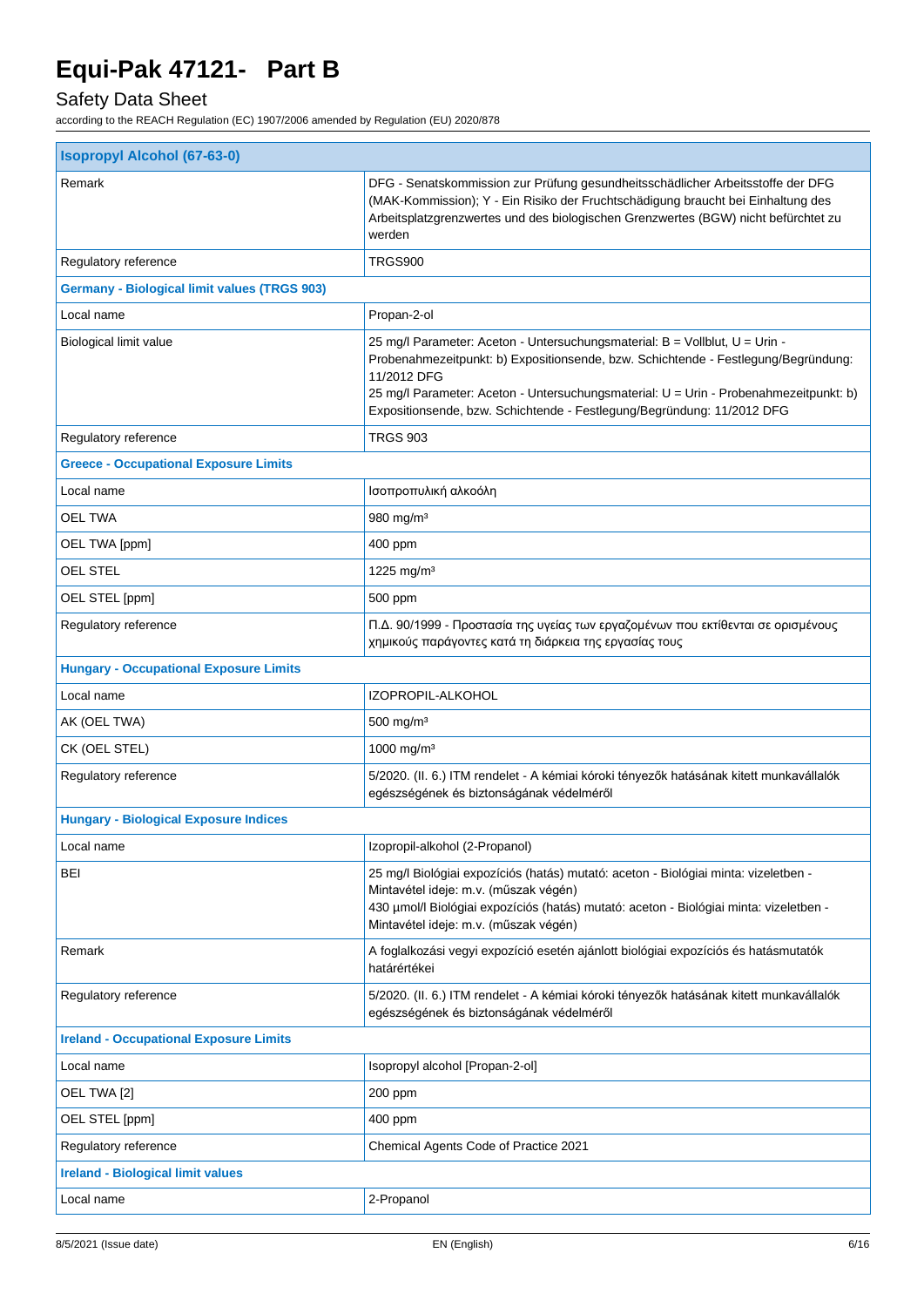# Safety Data Sheet

| <b>Isopropyl Alcohol (67-63-0)</b>                  |                                                                                                                                                                                                                                                                                                                                                     |  |  |
|-----------------------------------------------------|-----------------------------------------------------------------------------------------------------------------------------------------------------------------------------------------------------------------------------------------------------------------------------------------------------------------------------------------------------|--|--|
| Remark                                              | DFG - Senatskommission zur Prüfung gesundheitsschädlicher Arbeitsstoffe der DFG<br>(MAK-Kommission); Y - Ein Risiko der Fruchtschädigung braucht bei Einhaltung des<br>Arbeitsplatzgrenzwertes und des biologischen Grenzwertes (BGW) nicht befürchtet zu<br>werden                                                                                 |  |  |
| Regulatory reference                                | TRGS900                                                                                                                                                                                                                                                                                                                                             |  |  |
| <b>Germany - Biological limit values (TRGS 903)</b> |                                                                                                                                                                                                                                                                                                                                                     |  |  |
| Local name                                          | Propan-2-ol                                                                                                                                                                                                                                                                                                                                         |  |  |
| Biological limit value                              | 25 mg/l Parameter: Aceton - Untersuchungsmaterial: B = Vollblut, U = Urin -<br>Probenahmezeitpunkt: b) Expositionsende, bzw. Schichtende - Festlegung/Begründung:<br>11/2012 DFG<br>25 mg/l Parameter: Aceton - Untersuchungsmaterial: U = Urin - Probenahmezeitpunkt: b)<br>Expositionsende, bzw. Schichtende - Festlegung/Begründung: 11/2012 DFG |  |  |
| Regulatory reference                                | TRGS 903                                                                                                                                                                                                                                                                                                                                            |  |  |
| <b>Greece - Occupational Exposure Limits</b>        |                                                                                                                                                                                                                                                                                                                                                     |  |  |
| Local name                                          | Ισοπροπυλική αλκοόλη                                                                                                                                                                                                                                                                                                                                |  |  |
| <b>OEL TWA</b>                                      | 980 mg/m $3$                                                                                                                                                                                                                                                                                                                                        |  |  |
| OEL TWA [ppm]                                       | 400 ppm                                                                                                                                                                                                                                                                                                                                             |  |  |
| <b>OEL STEL</b>                                     | 1225 mg/m <sup>3</sup>                                                                                                                                                                                                                                                                                                                              |  |  |
| OEL STEL [ppm]                                      | 500 ppm                                                                                                                                                                                                                                                                                                                                             |  |  |
| Regulatory reference                                | Π.Δ. 90/1999 - Προστασία της υγείας των εργαζομένων που εκτίθενται σε ορισμένους<br>χημικούς παράγοντες κατά τη διάρκεια της εργασίας τους                                                                                                                                                                                                          |  |  |
| <b>Hungary - Occupational Exposure Limits</b>       |                                                                                                                                                                                                                                                                                                                                                     |  |  |
| Local name                                          | IZOPROPIL-ALKOHOL                                                                                                                                                                                                                                                                                                                                   |  |  |
| AK (OEL TWA)                                        | 500 mg/m <sup>3</sup>                                                                                                                                                                                                                                                                                                                               |  |  |
| CK (OEL STEL)                                       | 1000 mg/m <sup>3</sup>                                                                                                                                                                                                                                                                                                                              |  |  |
| Regulatory reference                                | 5/2020. (II. 6.) ITM rendelet - A kémiai kóroki tényezők hatásának kitett munkavállalók<br>egészségének és biztonságának védelméről                                                                                                                                                                                                                 |  |  |
| <b>Hungary - Biological Exposure Indices</b>        |                                                                                                                                                                                                                                                                                                                                                     |  |  |
| Local name                                          | Izopropil-alkohol (2-Propanol)                                                                                                                                                                                                                                                                                                                      |  |  |
| BEI                                                 | 25 mg/l Biológiai expozíciós (hatás) mutató: aceton - Biológiai minta: vizeletben -<br>Mintavétel ideje: m.v. (műszak végén)<br>430 µmol/l Biológiai expozíciós (hatás) mutató: aceton - Biológiai minta: vizeletben -<br>Mintavétel ideje: m.v. (műszak végén)                                                                                     |  |  |
| Remark                                              | A foglalkozási vegyi expozíció esetén ajánlott biológiai expozíciós és hatásmutatók<br>határértékei                                                                                                                                                                                                                                                 |  |  |
| Regulatory reference                                | 5/2020. (II. 6.) ITM rendelet - A kémiai kóroki tényezők hatásának kitett munkavállalók<br>egészségének és biztonságának védelméről                                                                                                                                                                                                                 |  |  |
| <b>Ireland - Occupational Exposure Limits</b>       |                                                                                                                                                                                                                                                                                                                                                     |  |  |
| Local name                                          | Isopropyl alcohol [Propan-2-ol]                                                                                                                                                                                                                                                                                                                     |  |  |
| OEL TWA [2]                                         | 200 ppm                                                                                                                                                                                                                                                                                                                                             |  |  |
| OEL STEL [ppm]                                      | 400 ppm                                                                                                                                                                                                                                                                                                                                             |  |  |
| Regulatory reference                                | Chemical Agents Code of Practice 2021                                                                                                                                                                                                                                                                                                               |  |  |
| <b>Ireland - Biological limit values</b>            |                                                                                                                                                                                                                                                                                                                                                     |  |  |
| Local name                                          | 2-Propanol                                                                                                                                                                                                                                                                                                                                          |  |  |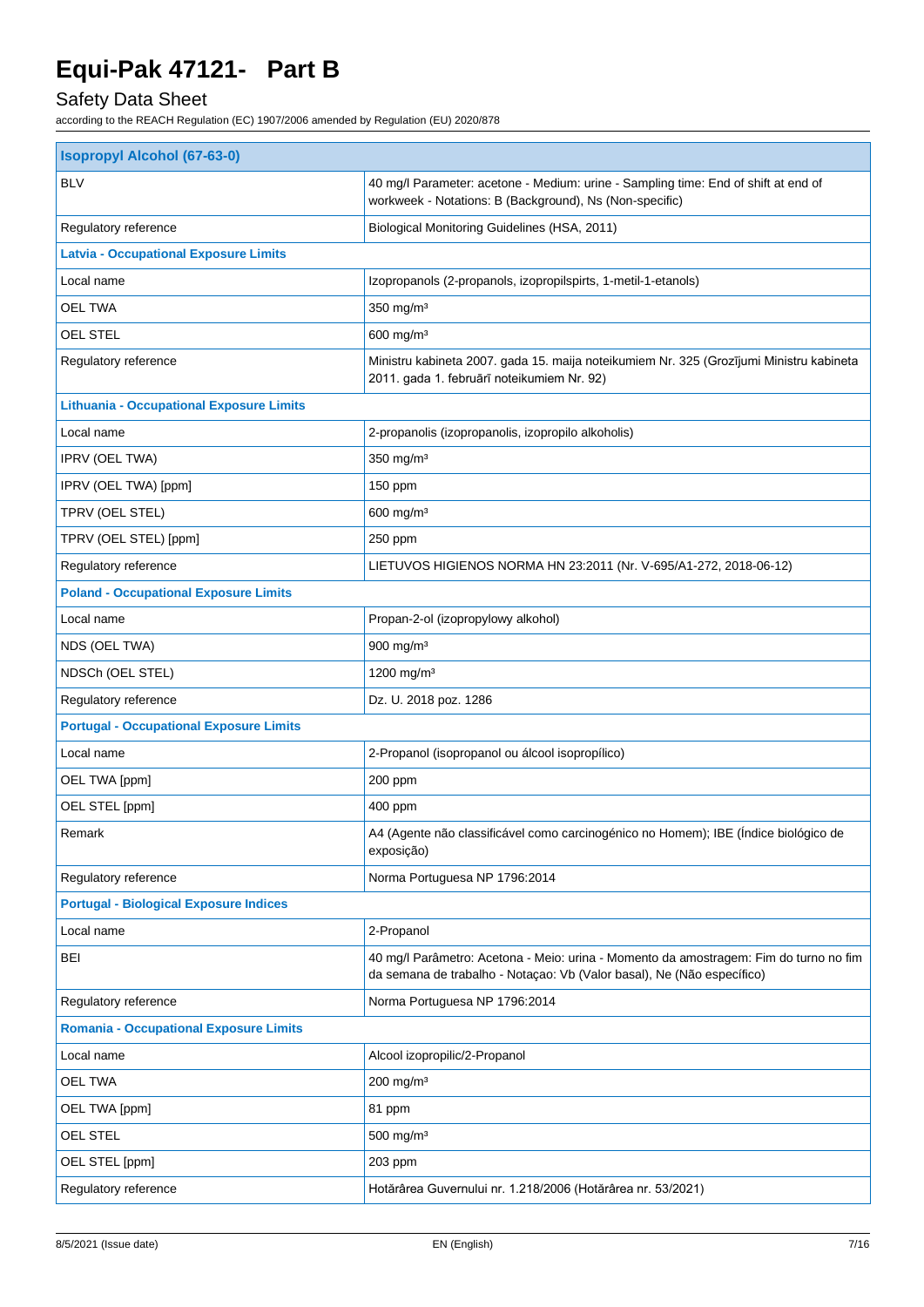# Safety Data Sheet

| <b>Isopropyl Alcohol (67-63-0)</b>              |                                                                                                                                                                 |  |
|-------------------------------------------------|-----------------------------------------------------------------------------------------------------------------------------------------------------------------|--|
| <b>BLV</b>                                      | 40 mg/l Parameter: acetone - Medium: urine - Sampling time: End of shift at end of<br>workweek - Notations: B (Background), Ns (Non-specific)                   |  |
| Regulatory reference                            | Biological Monitoring Guidelines (HSA, 2011)                                                                                                                    |  |
| <b>Latvia - Occupational Exposure Limits</b>    |                                                                                                                                                                 |  |
| Local name                                      | Izopropanols (2-propanols, izopropilspirts, 1-metil-1-etanols)                                                                                                  |  |
| <b>OEL TWA</b>                                  | 350 mg/m <sup>3</sup>                                                                                                                                           |  |
| OEL STEL                                        | 600 mg/m <sup>3</sup>                                                                                                                                           |  |
| Regulatory reference                            | Ministru kabineta 2007. gada 15. maija noteikumiem Nr. 325 (Grozījumi Ministru kabineta<br>2011. gada 1. februārī noteikumiem Nr. 92)                           |  |
| <b>Lithuania - Occupational Exposure Limits</b> |                                                                                                                                                                 |  |
| Local name                                      | 2-propanolis (izopropanolis, izopropilo alkoholis)                                                                                                              |  |
| IPRV (OEL TWA)                                  | 350 mg/m <sup>3</sup>                                                                                                                                           |  |
| IPRV (OEL TWA) [ppm]                            | 150 ppm                                                                                                                                                         |  |
| TPRV (OEL STEL)                                 | $600$ mg/m <sup>3</sup>                                                                                                                                         |  |
| TPRV (OEL STEL) [ppm]                           | 250 ppm                                                                                                                                                         |  |
| Regulatory reference                            | LIETUVOS HIGIENOS NORMA HN 23:2011 (Nr. V-695/A1-272, 2018-06-12)                                                                                               |  |
| <b>Poland - Occupational Exposure Limits</b>    |                                                                                                                                                                 |  |
| Local name                                      | Propan-2-ol (izopropylowy alkohol)                                                                                                                              |  |
| NDS (OEL TWA)                                   | 900 mg/m <sup>3</sup>                                                                                                                                           |  |
| NDSCh (OEL STEL)                                | 1200 mg/m <sup>3</sup>                                                                                                                                          |  |
| Regulatory reference                            | Dz. U. 2018 poz. 1286                                                                                                                                           |  |
| <b>Portugal - Occupational Exposure Limits</b>  |                                                                                                                                                                 |  |
| Local name                                      | 2-Propanol (isopropanol ou álcool isopropílico)                                                                                                                 |  |
| OEL TWA [ppm]                                   | 200 ppm                                                                                                                                                         |  |
| OEL STEL [ppm]                                  | 400 ppm                                                                                                                                                         |  |
| Remark                                          | A4 (Agente não classificável como carcinogénico no Homem); IBE (Índice biológico de<br>exposição)                                                               |  |
| Regulatory reference                            | Norma Portuguesa NP 1796:2014                                                                                                                                   |  |
| <b>Portugal - Biological Exposure Indices</b>   |                                                                                                                                                                 |  |
| Local name                                      | 2-Propanol                                                                                                                                                      |  |
| <b>BEI</b>                                      | 40 mg/l Parâmetro: Acetona - Meio: urina - Momento da amostragem: Fim do turno no fim<br>da semana de trabalho - Notaçao: Vb (Valor basal), Ne (Não específico) |  |
| Regulatory reference                            | Norma Portuguesa NP 1796:2014                                                                                                                                   |  |
| <b>Romania - Occupational Exposure Limits</b>   |                                                                                                                                                                 |  |
| Local name                                      | Alcool izopropilic/2-Propanol                                                                                                                                   |  |
| <b>OEL TWA</b>                                  | 200 mg/m <sup>3</sup>                                                                                                                                           |  |
| OEL TWA [ppm]                                   | 81 ppm                                                                                                                                                          |  |
| OEL STEL                                        | 500 mg/m <sup>3</sup>                                                                                                                                           |  |
| OEL STEL [ppm]                                  | 203 ppm                                                                                                                                                         |  |
| Regulatory reference                            | Hotărârea Guvernului nr. 1.218/2006 (Hotărârea nr. 53/2021)                                                                                                     |  |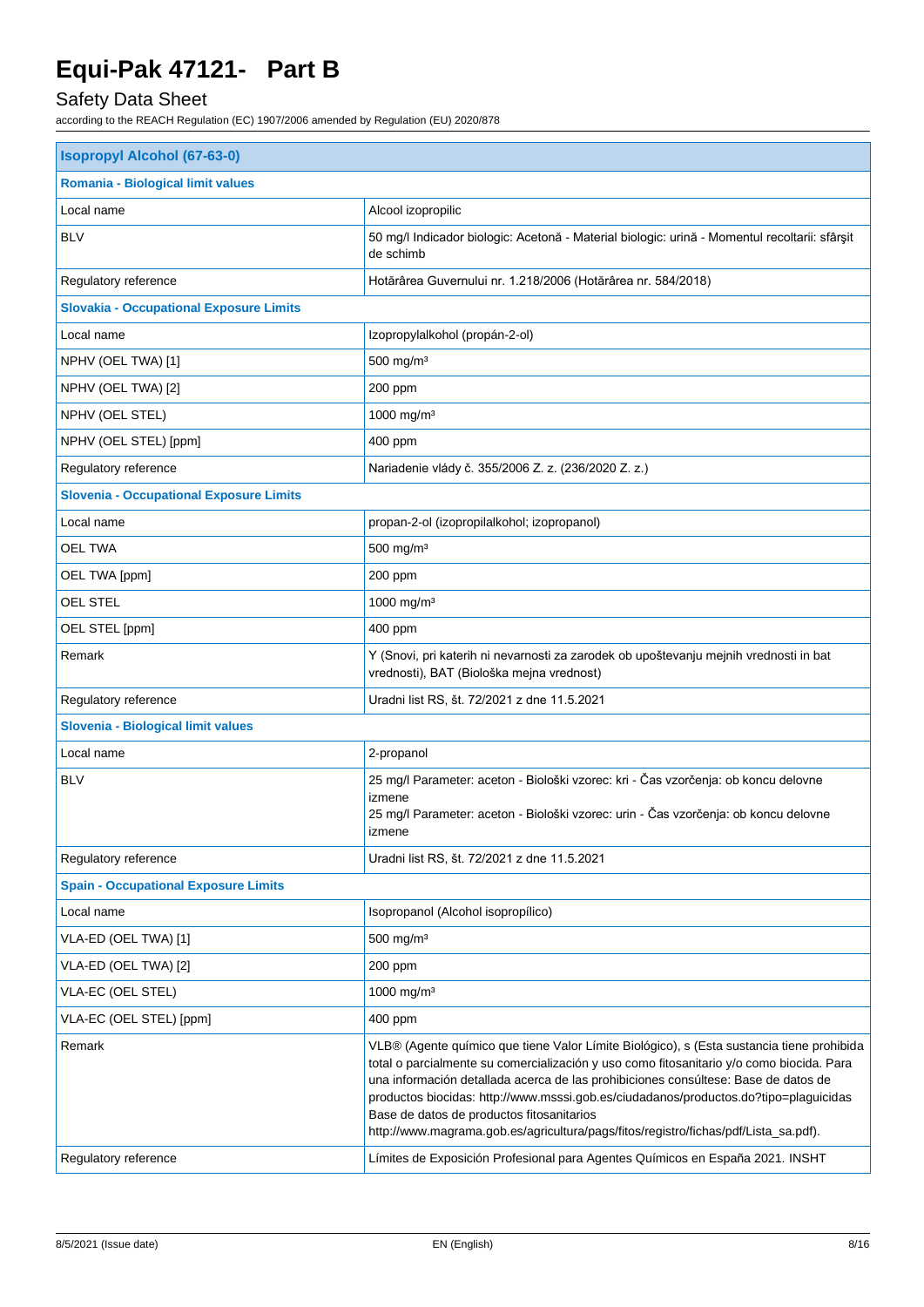# Safety Data Sheet

| <b>Isopropyl Alcohol (67-63-0)</b>             |                                                                                                                                                                                                                                                                                                                                                                                                                                                                                                         |  |
|------------------------------------------------|---------------------------------------------------------------------------------------------------------------------------------------------------------------------------------------------------------------------------------------------------------------------------------------------------------------------------------------------------------------------------------------------------------------------------------------------------------------------------------------------------------|--|
| Romania - Biological limit values              |                                                                                                                                                                                                                                                                                                                                                                                                                                                                                                         |  |
| Local name                                     | Alcool izopropilic                                                                                                                                                                                                                                                                                                                                                                                                                                                                                      |  |
| <b>BLV</b>                                     | 50 mg/l Indicador biologic: Acetonă - Material biologic: urină - Momentul recoltarii: sfârșit<br>de schimb                                                                                                                                                                                                                                                                                                                                                                                              |  |
| Regulatory reference                           | Hotărârea Guvernului nr. 1.218/2006 (Hotărârea nr. 584/2018)                                                                                                                                                                                                                                                                                                                                                                                                                                            |  |
| <b>Slovakia - Occupational Exposure Limits</b> |                                                                                                                                                                                                                                                                                                                                                                                                                                                                                                         |  |
| Local name                                     | Izopropylalkohol (propán-2-ol)                                                                                                                                                                                                                                                                                                                                                                                                                                                                          |  |
| NPHV (OEL TWA) [1]                             | 500 mg/m <sup>3</sup>                                                                                                                                                                                                                                                                                                                                                                                                                                                                                   |  |
| NPHV (OEL TWA) [2]                             | 200 ppm                                                                                                                                                                                                                                                                                                                                                                                                                                                                                                 |  |
| NPHV (OEL STEL)                                | 1000 mg/m <sup>3</sup>                                                                                                                                                                                                                                                                                                                                                                                                                                                                                  |  |
| NPHV (OEL STEL) [ppm]                          | 400 ppm                                                                                                                                                                                                                                                                                                                                                                                                                                                                                                 |  |
| Regulatory reference                           | Nariadenie vlády č. 355/2006 Z. z. (236/2020 Z. z.)                                                                                                                                                                                                                                                                                                                                                                                                                                                     |  |
| <b>Slovenia - Occupational Exposure Limits</b> |                                                                                                                                                                                                                                                                                                                                                                                                                                                                                                         |  |
| Local name                                     | propan-2-ol (izopropilalkohol; izopropanol)                                                                                                                                                                                                                                                                                                                                                                                                                                                             |  |
| <b>OEL TWA</b>                                 | 500 mg/m <sup>3</sup>                                                                                                                                                                                                                                                                                                                                                                                                                                                                                   |  |
| OEL TWA [ppm]                                  | 200 ppm                                                                                                                                                                                                                                                                                                                                                                                                                                                                                                 |  |
| <b>OEL STEL</b>                                | 1000 mg/m <sup>3</sup>                                                                                                                                                                                                                                                                                                                                                                                                                                                                                  |  |
| OEL STEL [ppm]                                 | 400 ppm                                                                                                                                                                                                                                                                                                                                                                                                                                                                                                 |  |
| Remark                                         | Y (Snovi, pri katerih ni nevarnosti za zarodek ob upoštevanju mejnih vrednosti in bat<br>vrednosti), BAT (Biološka mejna vrednost)                                                                                                                                                                                                                                                                                                                                                                      |  |
| Regulatory reference                           | Uradni list RS, št. 72/2021 z dne 11.5.2021                                                                                                                                                                                                                                                                                                                                                                                                                                                             |  |
| Slovenia - Biological limit values             |                                                                                                                                                                                                                                                                                                                                                                                                                                                                                                         |  |
| Local name                                     | 2-propanol                                                                                                                                                                                                                                                                                                                                                                                                                                                                                              |  |
| <b>BLV</b>                                     | 25 mg/l Parameter: aceton - Biološki vzorec: kri - Čas vzorčenja: ob koncu delovne<br>izmene<br>25 mg/l Parameter: aceton - Biološki vzorec: urin - Čas vzorčenja: ob koncu delovne<br>izmene                                                                                                                                                                                                                                                                                                           |  |
| Regulatory reference                           | Uradni list RS, št. 72/2021 z dne 11.5.2021                                                                                                                                                                                                                                                                                                                                                                                                                                                             |  |
| <b>Spain - Occupational Exposure Limits</b>    |                                                                                                                                                                                                                                                                                                                                                                                                                                                                                                         |  |
| Local name                                     | Isopropanol (Alcohol isopropílico)                                                                                                                                                                                                                                                                                                                                                                                                                                                                      |  |
| VLA-ED (OEL TWA) [1]                           | $500$ mg/m <sup>3</sup>                                                                                                                                                                                                                                                                                                                                                                                                                                                                                 |  |
| VLA-ED (OEL TWA) [2]                           | 200 ppm                                                                                                                                                                                                                                                                                                                                                                                                                                                                                                 |  |
| VLA-EC (OEL STEL)                              | 1000 mg/m <sup>3</sup>                                                                                                                                                                                                                                                                                                                                                                                                                                                                                  |  |
| VLA-EC (OEL STEL) [ppm]                        | 400 ppm                                                                                                                                                                                                                                                                                                                                                                                                                                                                                                 |  |
| Remark                                         | VLB® (Agente químico que tiene Valor Límite Biológico), s (Esta sustancia tiene prohibida<br>total o parcialmente su comercialización y uso como fitosanitario y/o como biocida. Para<br>una información detallada acerca de las prohibiciones consúltese: Base de datos de<br>productos biocidas: http://www.msssi.gob.es/ciudadanos/productos.do?tipo=plaguicidas<br>Base de datos de productos fitosanitarios<br>http://www.magrama.gob.es/agricultura/pags/fitos/registro/fichas/pdf/Lista_sa.pdf). |  |
| Regulatory reference                           | Límites de Exposición Profesional para Agentes Químicos en España 2021. INSHT                                                                                                                                                                                                                                                                                                                                                                                                                           |  |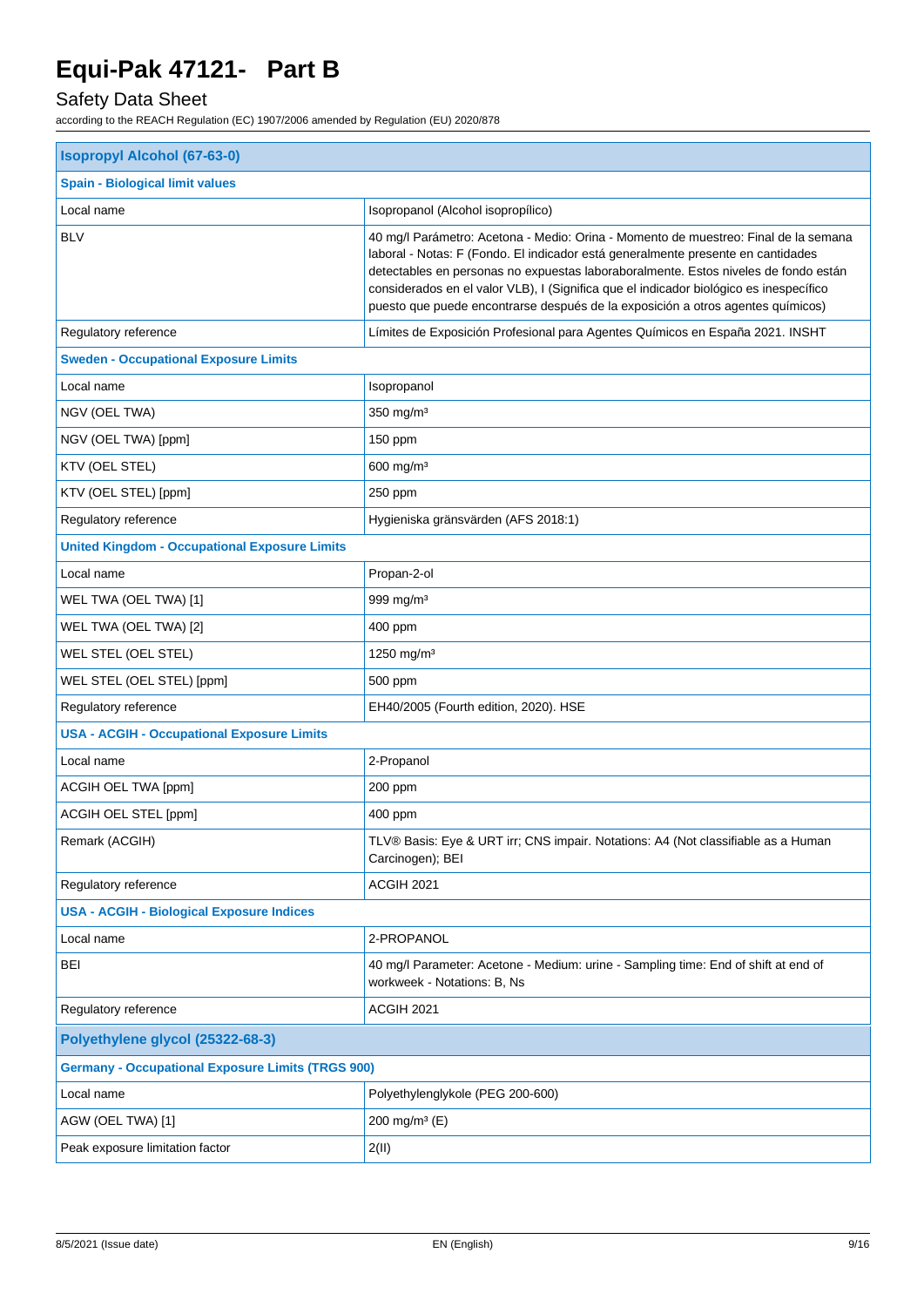# Safety Data Sheet

| <b>Isopropyl Alcohol (67-63-0)</b>                       |                                                                                                                                                                                                                                                                                                                                                                                                                                             |  |
|----------------------------------------------------------|---------------------------------------------------------------------------------------------------------------------------------------------------------------------------------------------------------------------------------------------------------------------------------------------------------------------------------------------------------------------------------------------------------------------------------------------|--|
| <b>Spain - Biological limit values</b>                   |                                                                                                                                                                                                                                                                                                                                                                                                                                             |  |
| Local name<br>Isopropanol (Alcohol isopropílico)         |                                                                                                                                                                                                                                                                                                                                                                                                                                             |  |
| <b>BLV</b>                                               | 40 mg/l Parámetro: Acetona - Medio: Orina - Momento de muestreo: Final de la semana<br>laboral - Notas: F (Fondo. El indicador está generalmente presente en cantidades<br>detectables en personas no expuestas laboraboralmente. Estos niveles de fondo están<br>considerados en el valor VLB), I (Significa que el indicador biológico es inespecífico<br>puesto que puede encontrarse después de la exposición a otros agentes químicos) |  |
| Regulatory reference                                     | Límites de Exposición Profesional para Agentes Químicos en España 2021. INSHT                                                                                                                                                                                                                                                                                                                                                               |  |
| <b>Sweden - Occupational Exposure Limits</b>             |                                                                                                                                                                                                                                                                                                                                                                                                                                             |  |
| Local name                                               | Isopropanol                                                                                                                                                                                                                                                                                                                                                                                                                                 |  |
| NGV (OEL TWA)                                            | 350 mg/m <sup>3</sup>                                                                                                                                                                                                                                                                                                                                                                                                                       |  |
| NGV (OEL TWA) [ppm]                                      | 150 ppm                                                                                                                                                                                                                                                                                                                                                                                                                                     |  |
| KTV (OEL STEL)                                           | 600 mg/m <sup>3</sup>                                                                                                                                                                                                                                                                                                                                                                                                                       |  |
| KTV (OEL STEL) [ppm]                                     | 250 ppm                                                                                                                                                                                                                                                                                                                                                                                                                                     |  |
| Regulatory reference                                     | Hygieniska gränsvärden (AFS 2018:1)                                                                                                                                                                                                                                                                                                                                                                                                         |  |
| <b>United Kingdom - Occupational Exposure Limits</b>     |                                                                                                                                                                                                                                                                                                                                                                                                                                             |  |
| Local name                                               | Propan-2-ol                                                                                                                                                                                                                                                                                                                                                                                                                                 |  |
| WEL TWA (OEL TWA) [1]                                    | 999 mg/m $3$                                                                                                                                                                                                                                                                                                                                                                                                                                |  |
| WEL TWA (OEL TWA) [2]                                    | 400 ppm                                                                                                                                                                                                                                                                                                                                                                                                                                     |  |
| WEL STEL (OEL STEL)                                      | 1250 mg/m <sup>3</sup>                                                                                                                                                                                                                                                                                                                                                                                                                      |  |
| WEL STEL (OEL STEL) [ppm]                                | 500 ppm                                                                                                                                                                                                                                                                                                                                                                                                                                     |  |
| Regulatory reference                                     | EH40/2005 (Fourth edition, 2020). HSE                                                                                                                                                                                                                                                                                                                                                                                                       |  |
| <b>USA - ACGIH - Occupational Exposure Limits</b>        |                                                                                                                                                                                                                                                                                                                                                                                                                                             |  |
| Local name                                               | 2-Propanol                                                                                                                                                                                                                                                                                                                                                                                                                                  |  |
| ACGIH OEL TWA [ppm]                                      | $200$ ppm                                                                                                                                                                                                                                                                                                                                                                                                                                   |  |
| ACGIH OEL STEL [ppm]                                     | 400 ppm                                                                                                                                                                                                                                                                                                                                                                                                                                     |  |
| Remark (ACGIH)                                           | TLV® Basis: Eye & URT irr; CNS impair. Notations: A4 (Not classifiable as a Human<br>Carcinogen); BEI                                                                                                                                                                                                                                                                                                                                       |  |
| Regulatory reference                                     | ACGIH 2021                                                                                                                                                                                                                                                                                                                                                                                                                                  |  |
| <b>USA - ACGIH - Biological Exposure Indices</b>         |                                                                                                                                                                                                                                                                                                                                                                                                                                             |  |
| Local name                                               | 2-PROPANOL                                                                                                                                                                                                                                                                                                                                                                                                                                  |  |
| <b>BEI</b>                                               | 40 mg/l Parameter: Acetone - Medium: urine - Sampling time: End of shift at end of<br>workweek - Notations: B, Ns                                                                                                                                                                                                                                                                                                                           |  |
| Regulatory reference                                     | ACGIH 2021                                                                                                                                                                                                                                                                                                                                                                                                                                  |  |
| Polyethylene glycol (25322-68-3)                         |                                                                                                                                                                                                                                                                                                                                                                                                                                             |  |
| <b>Germany - Occupational Exposure Limits (TRGS 900)</b> |                                                                                                                                                                                                                                                                                                                                                                                                                                             |  |
| Local name                                               | Polyethylenglykole (PEG 200-600)                                                                                                                                                                                                                                                                                                                                                                                                            |  |
| AGW (OEL TWA) [1]                                        | 200 mg/m <sup>3</sup> (E)                                                                                                                                                                                                                                                                                                                                                                                                                   |  |
| Peak exposure limitation factor                          | 2(11)                                                                                                                                                                                                                                                                                                                                                                                                                                       |  |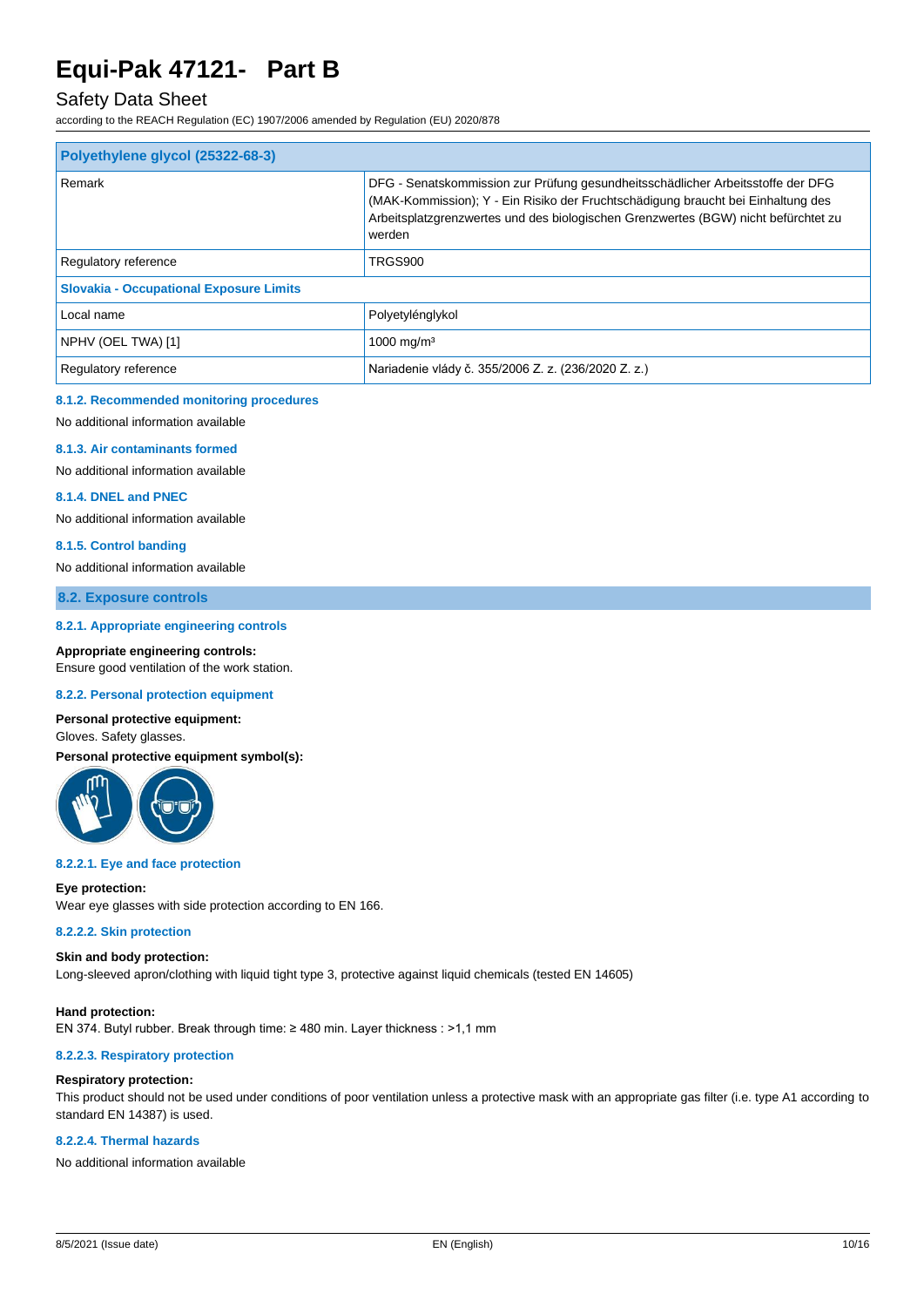## Safety Data Sheet

according to the REACH Regulation (EC) 1907/2006 amended by Regulation (EU) 2020/878

| Polyethylene glycol (25322-68-3)               |                                                                                                                                                                                                                                                                     |  |
|------------------------------------------------|---------------------------------------------------------------------------------------------------------------------------------------------------------------------------------------------------------------------------------------------------------------------|--|
| Remark                                         | DFG - Senatskommission zur Prüfung gesundheitsschädlicher Arbeitsstoffe der DFG<br>(MAK-Kommission); Y - Ein Risiko der Fruchtschädigung braucht bei Einhaltung des<br>Arbeitsplatzgrenzwertes und des biologischen Grenzwertes (BGW) nicht befürchtet zu<br>werden |  |
| Regulatory reference                           | TRGS900                                                                                                                                                                                                                                                             |  |
| <b>Slovakia - Occupational Exposure Limits</b> |                                                                                                                                                                                                                                                                     |  |
| Local name                                     | Polyetylénglykol                                                                                                                                                                                                                                                    |  |
| NPHV (OEL TWA) [1]                             | 1000 mg/m <sup>3</sup>                                                                                                                                                                                                                                              |  |
| Regulatory reference                           | Nariadenie vlády č. 355/2006 Z. z. (236/2020 Z. z.)                                                                                                                                                                                                                 |  |

#### **8.1.2. Recommended monitoring procedures**

No additional information available

#### **8.1.3. Air contaminants formed**

No additional information available

#### **8.1.4. DNEL and PNEC**

No additional information available

#### **8.1.5. Control banding**

No additional information available

#### **8.2. Exposure controls**

#### **8.2.1. Appropriate engineering controls**

**Appropriate engineering controls:**

Ensure good ventilation of the work station.

### **8.2.2. Personal protection equipment**

### **Personal protective equipment:**

Gloves. Safety glasses.

**Personal protective equipment symbol(s):**



#### **8.2.2.1. Eye and face protection**

#### **Eye protection:**

Wear eye glasses with side protection according to EN 166.

#### **8.2.2.2. Skin protection**

#### **Skin and body protection:**

Long-sleeved apron/clothing with liquid tight type 3, protective against liquid chemicals (tested EN 14605)

#### **Hand protection:** EN 374. Butyl rubber. Break through time: ≥ 480 min. Layer thickness : >1,1 mm

#### **8.2.2.3. Respiratory protection**

#### **Respiratory protection:**

This product should not be used under conditions of poor ventilation unless a protective mask with an appropriate gas filter (i.e. type A1 according to standard EN 14387) is used.

#### **8.2.2.4. Thermal hazards**

No additional information available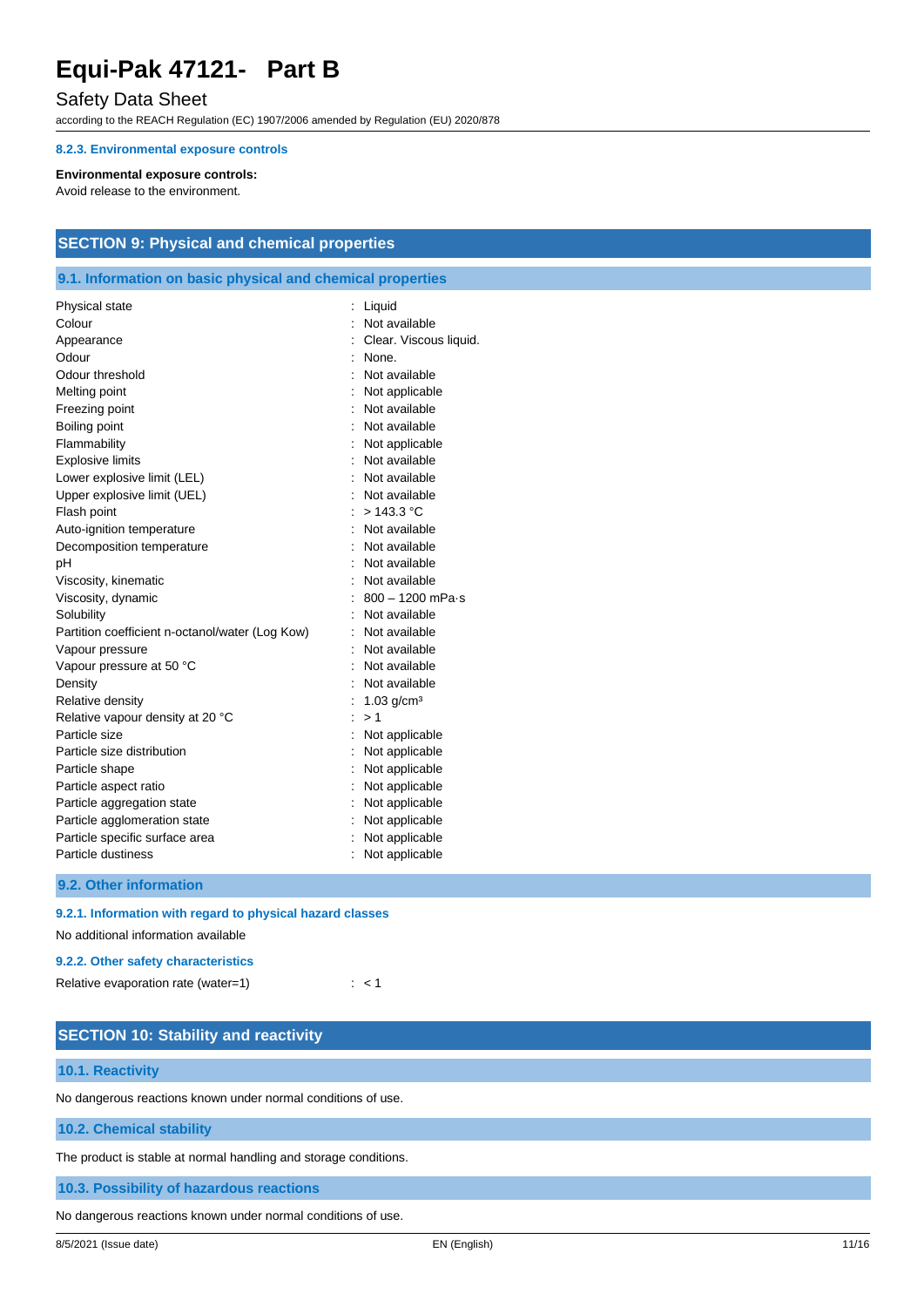## Safety Data Sheet

according to the REACH Regulation (EC) 1907/2006 amended by Regulation (EU) 2020/878

#### **8.2.3. Environmental exposure controls**

#### **Environmental exposure controls:**

Avoid release to the environment.

## **SECTION 9: Physical and chemical properties**

### **9.1. Information on basic physical and chemical properties**

| Physical state                                  | Liquid                   |
|-------------------------------------------------|--------------------------|
| Colour                                          | Not available            |
| Appearance                                      | Clear. Viscous liquid.   |
| Odour                                           | : None.                  |
| Odour threshold                                 | : Not available          |
| Melting point                                   | : Not applicable         |
| Freezing point                                  | Not available            |
| Boiling point                                   | Not available            |
| Flammability                                    | : Not applicable         |
| <b>Explosive limits</b>                         | : Not available          |
| Lower explosive limit (LEL)                     | : Not available          |
| Upper explosive limit (UEL)                     | : Not available          |
| Flash point                                     | : $> 143.3$ °C           |
| Auto-ignition temperature                       | : Not available          |
| Decomposition temperature                       | Not available            |
| рH                                              | Not available            |
| Viscosity, kinematic                            | Not available            |
| Viscosity, dynamic                              | $: 800 - 1200$ mPa-s     |
| Solubility                                      | : Not available          |
| Partition coefficient n-octanol/water (Log Kow) | : Not available          |
| Vapour pressure                                 | Not available            |
| Vapour pressure at 50 °C                        | : Not available          |
| Density                                         | : Not available          |
| Relative density                                | $1.03$ g/cm <sup>3</sup> |
| Relative vapour density at 20 °C                | >1                       |
| Particle size                                   | Not applicable           |
| Particle size distribution                      | Not applicable           |
| Particle shape                                  | Not applicable           |
| Particle aspect ratio                           | Not applicable           |
| Particle aggregation state                      | Not applicable           |
| Particle agglomeration state                    | Not applicable           |
| Particle specific surface area                  | : Not applicable         |
| Particle dustiness                              | Not applicable           |
|                                                 |                          |

**9.2. Other information**

#### **9.2.1. Information with regard to physical hazard classes**

No additional information available

#### **9.2.2. Other safety characteristics**

| Relative evaporation rate (water=1) |  |  |  |
|-------------------------------------|--|--|--|
|-------------------------------------|--|--|--|

| <b>SECTION 10: Stability and reactivity</b>                      |  |
|------------------------------------------------------------------|--|
| 10.1. Reactivity                                                 |  |
| No dangerous reactions known under normal conditions of use.     |  |
| 10.2. Chemical stability                                         |  |
| The product is stable at normal handling and storage conditions. |  |
| 10.3. Possibility of hazardous reactions                         |  |
| No dangerous reactions known under normal conditions of use.     |  |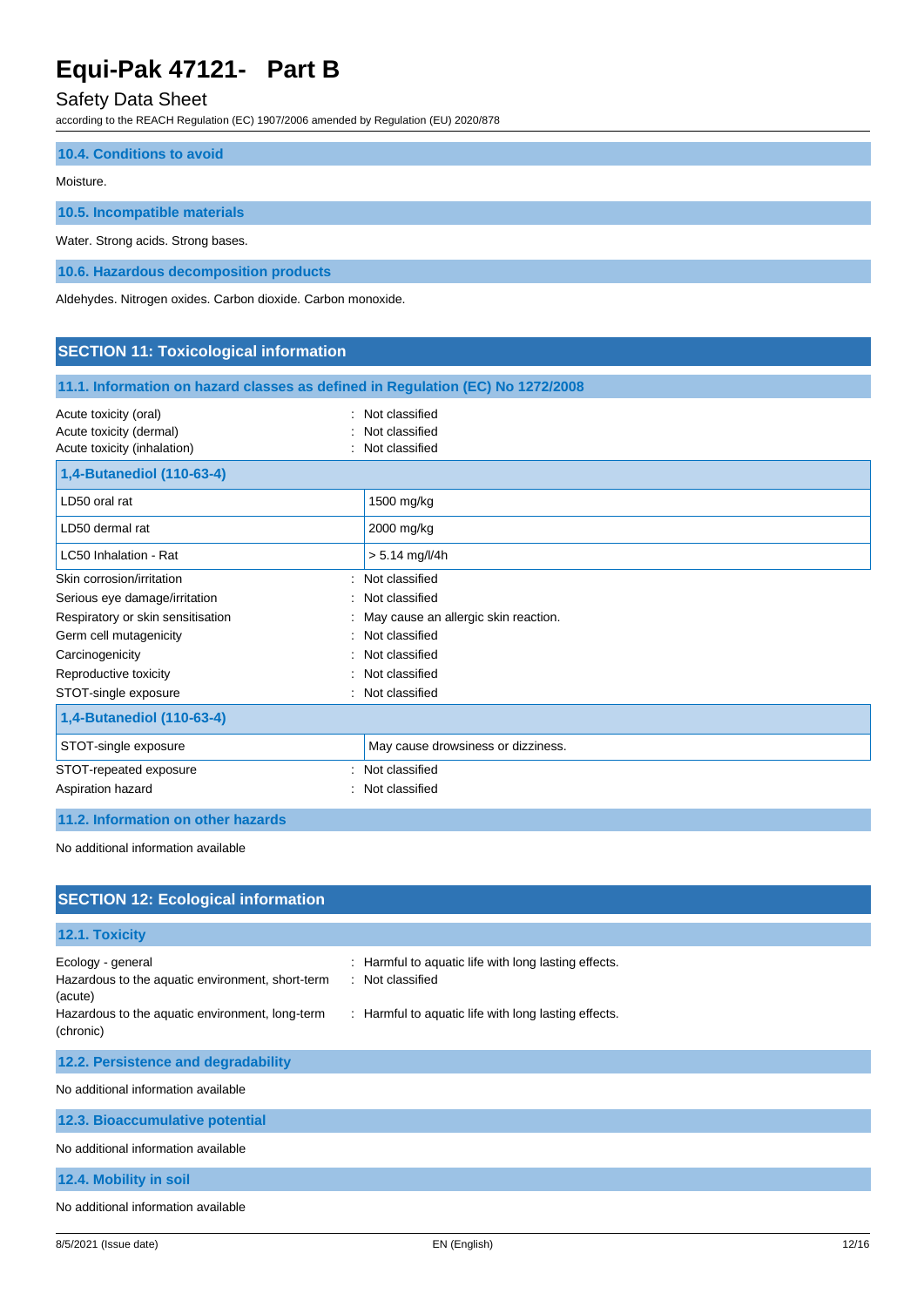## Safety Data Sheet

according to the REACH Regulation (EC) 1907/2006 amended by Regulation (EU) 2020/878

| 10.4. Conditions to avoid          |  |
|------------------------------------|--|
| Moisture.                          |  |
| 10.5. Incompatible materials       |  |
| Water. Strong acids. Strong bases. |  |

**10.6. Hazardous decomposition products**

Aldehydes. Nitrogen oxides. Carbon dioxide. Carbon monoxide.

## **SECTION 11: Toxicological information**

| 11.1. Information on hazard classes as defined in Regulation (EC) No 1272/2008                               |                                                        |  |
|--------------------------------------------------------------------------------------------------------------|--------------------------------------------------------|--|
| Acute toxicity (oral)<br>Acute toxicity (dermal)<br>Acute toxicity (inhalation)<br>1,4-Butanediol (110-63-4) | : Not classified<br>Not classified<br>: Not classified |  |
| LD50 oral rat                                                                                                | 1500 mg/kg                                             |  |
| LD50 dermal rat                                                                                              | 2000 mg/kg                                             |  |
| LC50 Inhalation - Rat                                                                                        | $> 5.14$ mg/l/4h                                       |  |
| Skin corrosion/irritation<br>۰.                                                                              | Not classified                                         |  |
| Serious eye damage/irritation<br>÷.                                                                          | Not classified                                         |  |
| Respiratory or skin sensitisation                                                                            | May cause an allergic skin reaction.                   |  |
| Germ cell mutagenicity                                                                                       | Not classified                                         |  |
| Carcinogenicity                                                                                              | : Not classified                                       |  |
| Reproductive toxicity                                                                                        | Not classified                                         |  |
| STOT-single exposure                                                                                         | : Not classified                                       |  |
| 1,4-Butanediol (110-63-4)                                                                                    |                                                        |  |
| STOT-single exposure                                                                                         | May cause drowsiness or dizziness.                     |  |
| STOT-repeated exposure                                                                                       | Not classified                                         |  |
| Aspiration hazard                                                                                            | Not classified                                         |  |

### **11.2. Information on other hazards**

No additional information available

| <b>SECTION 12: Ecological information</b>                                        |                                                                        |
|----------------------------------------------------------------------------------|------------------------------------------------------------------------|
| 12.1. Toxicity                                                                   |                                                                        |
| Ecology - general<br>Hazardous to the aquatic environment, short-term<br>(acute) | Harmful to aquatic life with long lasting effects.<br>: Not classified |
| Hazardous to the aquatic environment, long-term<br>(chronic)                     | : Harmful to aquatic life with long lasting effects.                   |
| 12.2. Persistence and degradability                                              |                                                                        |
| No additional information available                                              |                                                                        |
| 12.3. Bioaccumulative potential                                                  |                                                                        |
| No additional information available                                              |                                                                        |
| 12.4. Mobility in soil                                                           |                                                                        |
| No additional information available                                              |                                                                        |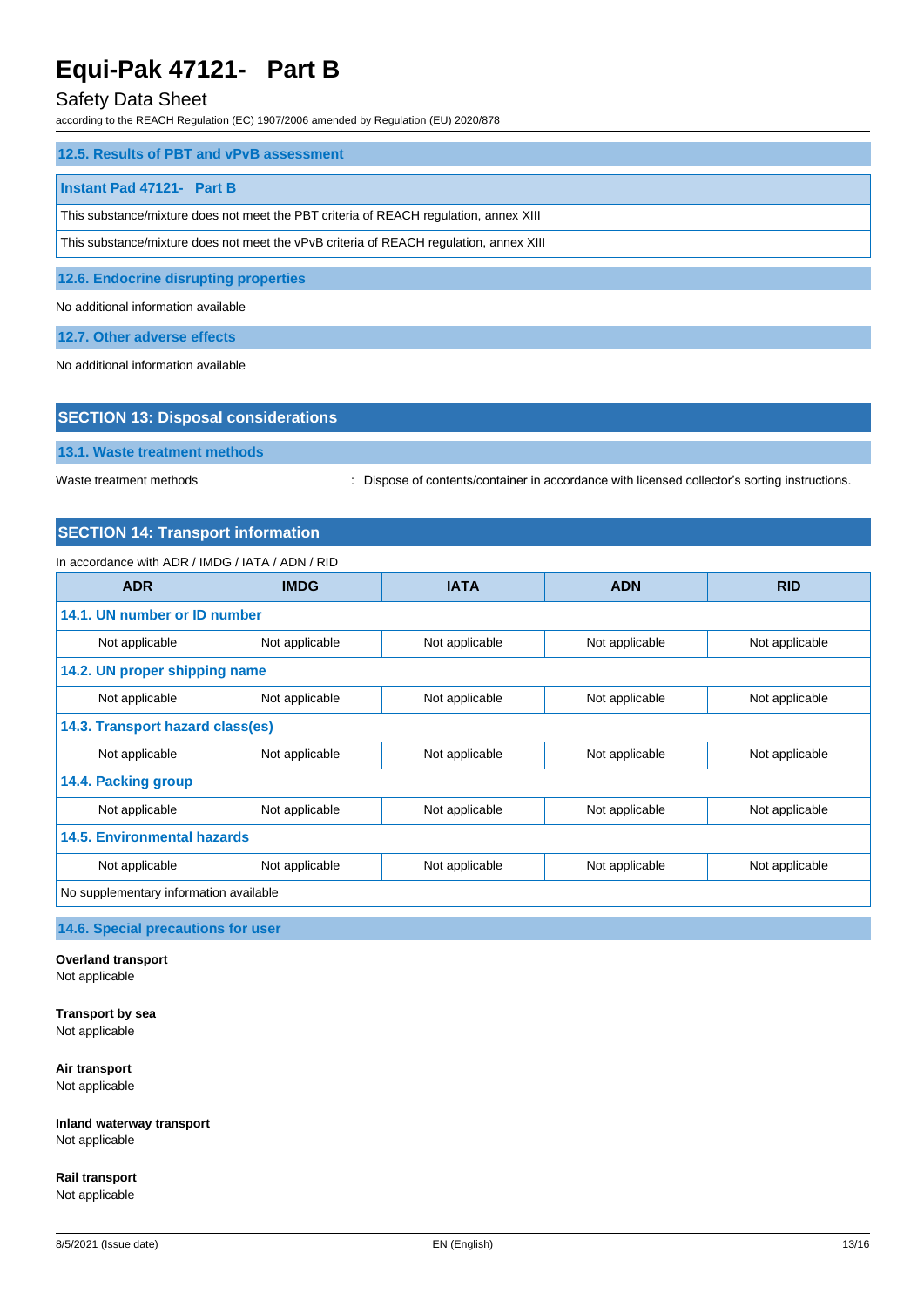## Safety Data Sheet

according to the REACH Regulation (EC) 1907/2006 amended by Regulation (EU) 2020/878

| 12.5. Results of PBT and vPvB assessment                                               |  |  |
|----------------------------------------------------------------------------------------|--|--|
|                                                                                        |  |  |
| Instant Pad 47121- Part B                                                              |  |  |
| This substance/mixture does not meet the PBT criteria of REACH regulation, annex XIII  |  |  |
|                                                                                        |  |  |
| This substance/mixture does not meet the vPvB criteria of REACH regulation, annex XIII |  |  |
|                                                                                        |  |  |

**12.6. Endocrine disrupting properties**

No additional information available

**12.7. Other adverse effects**

No additional information available

| <b>SECTION 13: Disposal considerations</b> |  |
|--------------------------------------------|--|
| 13.1. Waste treatment methods              |  |

Waste treatment methods : Dispose of contents/container in accordance with licensed collector's sorting instructions.

### **SECTION 14: Transport information**

#### In accordance with ADR / IMDG / IATA / ADN / RID

| <b>ADR</b>                             | <b>IMDG</b>    | <b>IATA</b>    | <b>ADN</b>     | <b>RID</b>     |
|----------------------------------------|----------------|----------------|----------------|----------------|
| 14.1. UN number or ID number           |                |                |                |                |
| Not applicable                         | Not applicable | Not applicable | Not applicable | Not applicable |
| 14.2. UN proper shipping name          |                |                |                |                |
| Not applicable                         | Not applicable | Not applicable | Not applicable | Not applicable |
| 14.3. Transport hazard class(es)       |                |                |                |                |
| Not applicable                         | Not applicable | Not applicable | Not applicable | Not applicable |
| 14.4. Packing group                    |                |                |                |                |
| Not applicable                         | Not applicable | Not applicable | Not applicable | Not applicable |
| <b>14.5. Environmental hazards</b>     |                |                |                |                |
| Not applicable                         | Not applicable | Not applicable | Not applicable | Not applicable |
| No supplementary information available |                |                |                |                |

### **14.6. Special precautions for user**

## **Overland transport**

Not applicable

**Transport by sea** Not applicable

**Air transport**

Not applicable

**Inland waterway transport** Not applicable

**Rail transport** Not applicable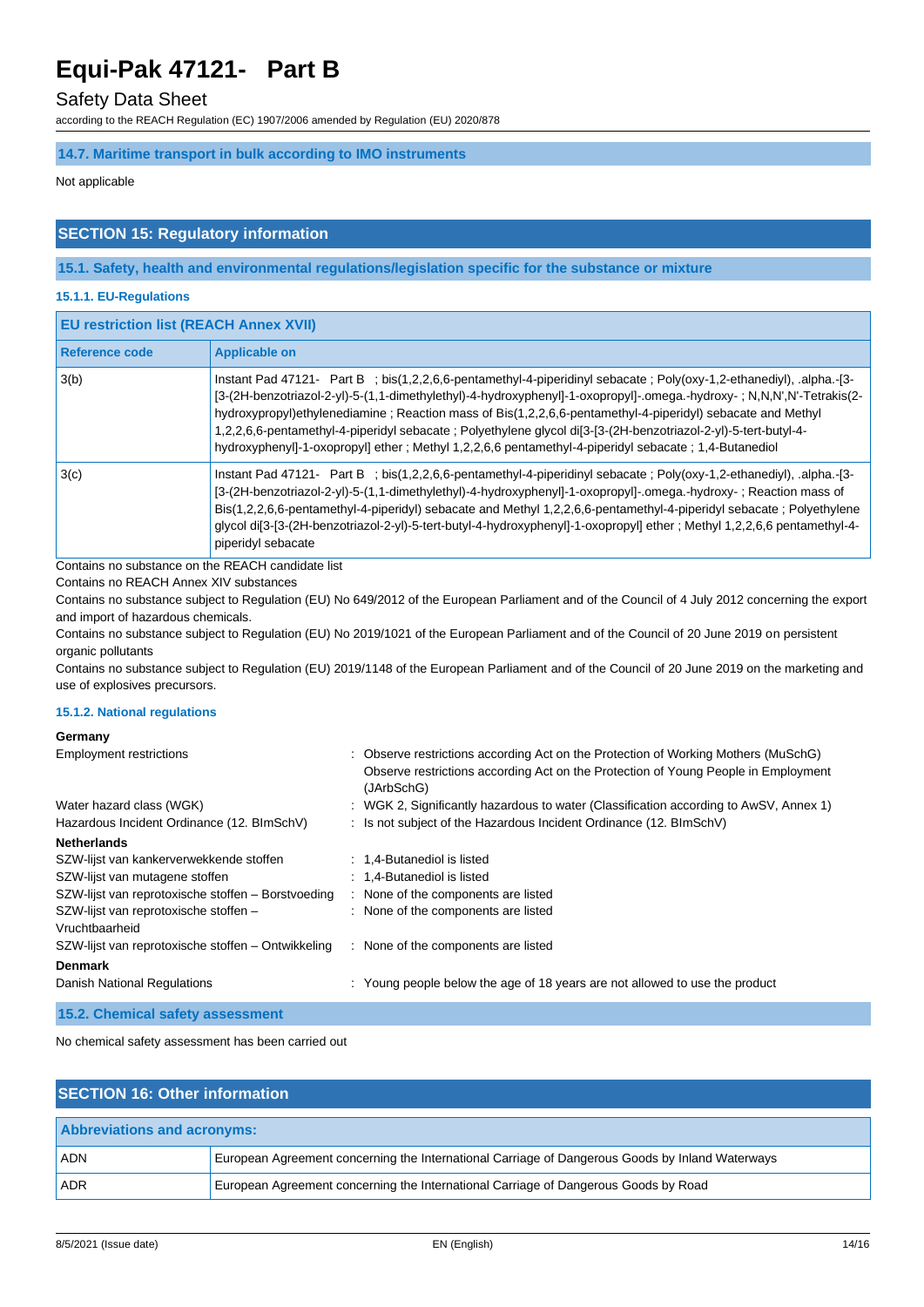### Safety Data Sheet

according to the REACH Regulation (EC) 1907/2006 amended by Regulation (EU) 2020/878

## **14.7. Maritime transport in bulk according to IMO instruments**

Not applicable

## **SECTION 15: Regulatory information**

### **15.1. Safety, health and environmental regulations/legislation specific for the substance or mixture**

### **15.1.1. EU-Regulations**

| <b>EU restriction list (REACH Annex XVII)</b> |                                                                                                                                                                                                                                                                                                                                                                                                                                                                                                                                                                                      |  |
|-----------------------------------------------|--------------------------------------------------------------------------------------------------------------------------------------------------------------------------------------------------------------------------------------------------------------------------------------------------------------------------------------------------------------------------------------------------------------------------------------------------------------------------------------------------------------------------------------------------------------------------------------|--|
| Reference code                                | <b>Applicable on</b>                                                                                                                                                                                                                                                                                                                                                                                                                                                                                                                                                                 |  |
| 3(b)                                          | Instant Pad 47121- Part B; bis(1,2,2,6,6-pentamethyl-4-piperidinyl sebacate; Poly(oxy-1,2-ethanediyl), .alpha.-[3-<br>[3-(2H-benzotriazol-2-yl)-5-(1,1-dimethylethyl)-4-hydroxyphenyl]-1-oxopropyl]-.omega.-hydroxy-; N,N,N',N'-Tetrakis(2-<br>hydroxypropyl)ethylenediamine; Reaction mass of Bis(1,2,2,6,6-pentamethyl-4-piperidyl) sebacate and Methyl<br>1,2,2,6,6-pentamethyl-4-piperidyl sebacate ; Polyethylene glycol di[3-[3-(2H-benzotriazol-2-yl)-5-tert-butyl-4-<br>hydroxyphenyl]-1-oxopropyl] ether; Methyl 1,2,2,6,6 pentamethyl-4-piperidyl sebacate; 1,4-Butanediol |  |
| 3(c)                                          | Instant Pad 47121- Part B ; bis(1,2,2,6,6-pentamethyl-4-piperidinyl sebacate ; Poly(oxy-1,2-ethanediyl), .alpha.-[3-<br>[3-(2H-benzotriazol-2-yl)-5-(1,1-dimethylethyl)-4-hydroxyphenyl]-1-oxopropyl]-.omega.-hydroxy-; Reaction mass of<br>Bis(1,2,2,6,6-pentamethyl-4-piperidyl) sebacate and Methyl 1,2,2,6,6-pentamethyl-4-piperidyl sebacate; Polyethylene<br>glycol di[3-[3-(2H-benzotriazol-2-yl)-5-tert-butyl-4-hydroxyphenyl]-1-oxopropyl] ether; Methyl 1,2,2,6,6 pentamethyl-4-<br>piperidyl sebacate                                                                     |  |

Contains no substance on the REACH candidate list

Contains no REACH Annex XIV substances

Contains no substance subject to Regulation (EU) No 649/2012 of the European Parliament and of the Council of 4 July 2012 concerning the export and import of hazardous chemicals.

Contains no substance subject to Regulation (EU) No 2019/1021 of the European Parliament and of the Council of 20 June 2019 on persistent organic pollutants

Contains no substance subject to Regulation (EU) 2019/1148 of the European Parliament and of the Council of 20 June 2019 on the marketing and use of explosives precursors.

#### **15.1.2. National regulations**

#### **Germany**

| <b>Employment restrictions</b>                                         | : Observe restrictions according Act on the Protection of Working Mothers (MuSchG)                                                                                   |
|------------------------------------------------------------------------|----------------------------------------------------------------------------------------------------------------------------------------------------------------------|
|                                                                        | Observe restrictions according Act on the Protection of Young People in Employment<br>(JArbSchG)                                                                     |
| Water hazard class (WGK)<br>Hazardous Incident Ordinance (12. BImSchV) | : WGK 2, Significantly hazardous to water (Classification according to AwSV, Annex 1)<br>: Is not subject of the Hazardous Incident Ordinance $(12. \text{BlmSchV})$ |
| <b>Netherlands</b>                                                     |                                                                                                                                                                      |
| SZW-lijst van kankerverwekkende stoffen                                | : 1,4-Butanediol is listed                                                                                                                                           |
| SZW-lijst van mutagene stoffen                                         | : 1,4-Butanediol is listed                                                                                                                                           |
| SZW-lijst van reprotoxische stoffen - Borstvoeding                     | : None of the components are listed                                                                                                                                  |
| SZW-lijst van reprotoxische stoffen -<br>Vruchtbaarheid                | : None of the components are listed                                                                                                                                  |
| SZW-lijst van reprotoxische stoffen – Ontwikkeling                     | : None of the components are listed                                                                                                                                  |
| <b>Denmark</b>                                                         |                                                                                                                                                                      |
| Danish National Regulations                                            | : Young people below the age of 18 years are not allowed to use the product                                                                                          |
| 15.2. Chemical safety assessment                                       |                                                                                                                                                                      |

No chemical safety assessment has been carried out

| <b>SECTION 16: Other information</b> |                                                                                                 |  |
|--------------------------------------|-------------------------------------------------------------------------------------------------|--|
| <b>Abbreviations and acronyms:</b>   |                                                                                                 |  |
| <b>ADN</b>                           | European Agreement concerning the International Carriage of Dangerous Goods by Inland Waterways |  |
| <b>ADR</b>                           | European Agreement concerning the International Carriage of Dangerous Goods by Road             |  |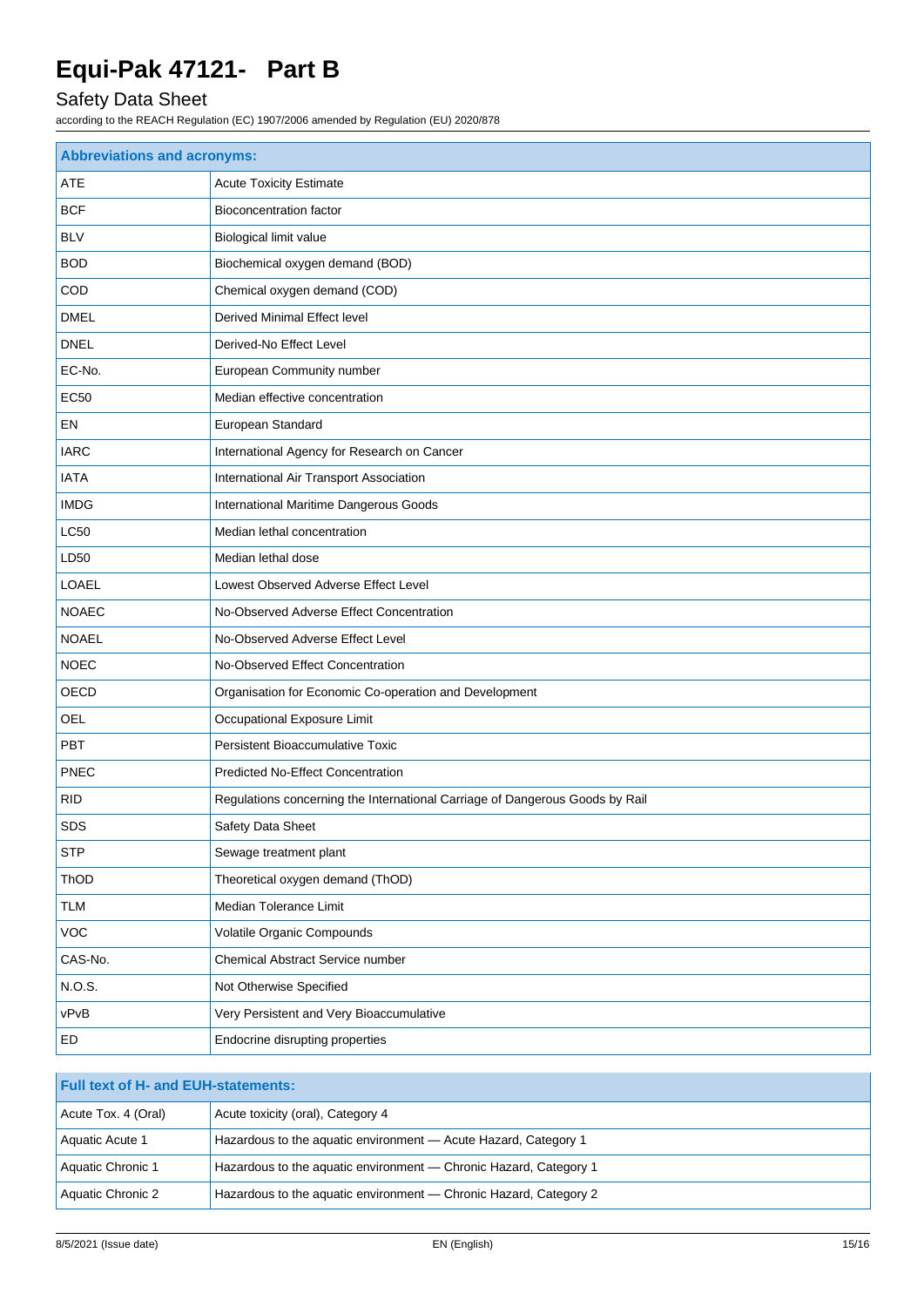# Safety Data Sheet

| <b>Abbreviations and acronyms:</b> |                                                                              |  |
|------------------------------------|------------------------------------------------------------------------------|--|
| ATE                                | <b>Acute Toxicity Estimate</b>                                               |  |
| <b>BCF</b>                         | <b>Bioconcentration factor</b>                                               |  |
| <b>BLV</b>                         | Biological limit value                                                       |  |
| <b>BOD</b>                         | Biochemical oxygen demand (BOD)                                              |  |
| COD                                | Chemical oxygen demand (COD)                                                 |  |
| <b>DMEL</b>                        | <b>Derived Minimal Effect level</b>                                          |  |
| <b>DNEL</b>                        | Derived-No Effect Level                                                      |  |
| EC-No.                             | European Community number                                                    |  |
| EC50                               | Median effective concentration                                               |  |
| EN                                 | European Standard                                                            |  |
| <b>IARC</b>                        | International Agency for Research on Cancer                                  |  |
| <b>IATA</b>                        | International Air Transport Association                                      |  |
| <b>IMDG</b>                        | International Maritime Dangerous Goods                                       |  |
| <b>LC50</b>                        | Median lethal concentration                                                  |  |
| LD50                               | Median lethal dose                                                           |  |
| LOAEL                              | Lowest Observed Adverse Effect Level                                         |  |
| <b>NOAEC</b>                       | No-Observed Adverse Effect Concentration                                     |  |
| <b>NOAEL</b>                       | No-Observed Adverse Effect Level                                             |  |
| <b>NOEC</b>                        | No-Observed Effect Concentration                                             |  |
| OECD                               | Organisation for Economic Co-operation and Development                       |  |
| OEL                                | Occupational Exposure Limit                                                  |  |
| PBT                                | Persistent Bioaccumulative Toxic                                             |  |
| <b>PNEC</b>                        | <b>Predicted No-Effect Concentration</b>                                     |  |
| <b>RID</b>                         | Regulations concerning the International Carriage of Dangerous Goods by Rail |  |
| <b>SDS</b>                         | Safety Data Sheet                                                            |  |
| <b>STP</b>                         | Sewage treatment plant                                                       |  |
| ThOD                               | Theoretical oxygen demand (ThOD)                                             |  |
| TLM                                | Median Tolerance Limit                                                       |  |
| <b>VOC</b>                         | Volatile Organic Compounds                                                   |  |
| CAS-No.                            | Chemical Abstract Service number                                             |  |
| N.O.S.                             | Not Otherwise Specified                                                      |  |
| vPvB                               | Very Persistent and Very Bioaccumulative                                     |  |
| ED                                 | Endocrine disrupting properties                                              |  |

| <b>Full text of H- and EUH-statements:</b> |                                                                   |  |
|--------------------------------------------|-------------------------------------------------------------------|--|
| Acute Tox. 4 (Oral)                        | Acute toxicity (oral), Category 4                                 |  |
| Aquatic Acute 1                            | Hazardous to the aquatic environment - Acute Hazard, Category 1   |  |
| Aquatic Chronic 1                          | Hazardous to the aquatic environment — Chronic Hazard, Category 1 |  |
| Aquatic Chronic 2                          | Hazardous to the aquatic environment — Chronic Hazard, Category 2 |  |